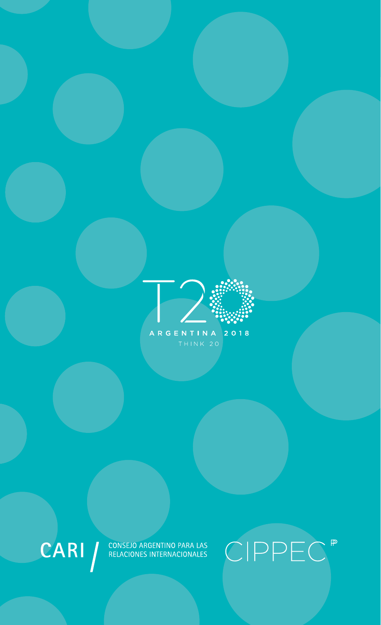

ARGENTINA 2018

CARI / CONSEJO ARGENTINO PARA LAS<br>RELACIONES INTERNACIONALES  $C$ IPPEC<sup>®</sup>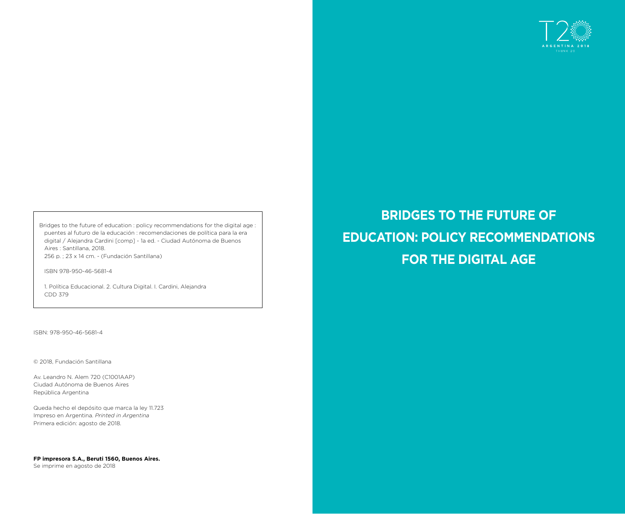

Bridges to the future of education : policy recommendations for the digital age : puentes al futuro de la educación : recomendaciones de política para la era digital / Alejandra Cardini [comp] - 1a ed. - Ciudad Autónoma de Buenos Aires : Santillana, 2018. 256 p. ; 23 x 14 cm. - (Fundación Santillana)

ISBN 978-950-46-5681-4

 1. Política Educacional. 2. Cultura Digital. I. Cardini, Alejandra CDD 379

ISBN: 978-950-46-5681-4

© 2018, Fundación Santillana

Av. Leandro N. Alem 720 (C1001AAP) Ciudad Autónoma de Buenos Aires República Argentina

Queda hecho el depósito que marca la ley 11.723 Impreso en Argentina. *Printed in Argentina* Primera edición: agosto de 2018.

**FP impresora S.A., Beruti 1560, Buenos Aires.** Se imprime en agosto de 2018

**BRIDGES TO THE FUTURE OF EDUCATION: POLICY RECOMMENDATIONS FOR THE DIGITAL AGE**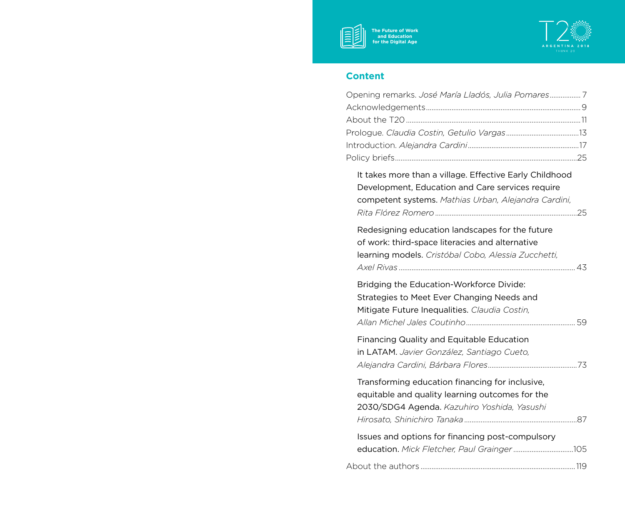

# **Content**

| Opening remarks. José María Lladós, Julia Pomares7                                                                                                                  |  |
|---------------------------------------------------------------------------------------------------------------------------------------------------------------------|--|
| It takes more than a village. Effective Early Childhood<br>Development, Education and Care services require<br>competent systems. Mathias Urban, Alejandra Cardini, |  |
| Redesigning education landscapes for the future<br>of work: third-space literacies and alternative<br>learning models. Cristóbal Cobo, Alessia Zucchetti,           |  |
| Bridging the Education-Workforce Divide:<br>Strategies to Meet Ever Changing Needs and<br>Mitigate Future Inequalities. Claudia Costin,                             |  |
| Financing Quality and Equitable Education<br>in LATAM. Javier González, Santiago Cueto,                                                                             |  |
| Transforming education financing for inclusive,<br>equitable and quality learning outcomes for the<br>2030/SDG4 Agenda. Kazuhiro Yoshida, Yasushi                   |  |
| Issues and options for financing post-compulsory                                                                                                                    |  |
|                                                                                                                                                                     |  |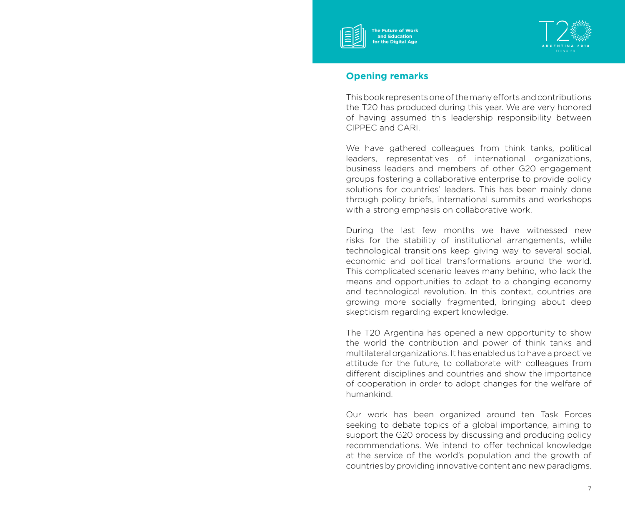



# **Opening remarks**

This book represents one of the many efforts and contributions the T20 has produced during this year. We are very honored of having assumed this leadership responsibility between CIPPEC and CARI.

We have gathered colleagues from think tanks, political leaders, representatives of international organizations, business leaders and members of other G20 engagement groups fostering a collaborative enterprise to provide policy solutions for countries' leaders. This has been mainly done through policy briefs, international summits and workshops with a strong emphasis on collaborative work.

During the last few months we have witnessed new risks for the stability of institutional arrangements, while technological transitions keep giving way to several social, economic and political transformations around the world. This complicated scenario leaves many behind, who lack the means and opportunities to adapt to a changing economy and technological revolution. In this context, countries are growing more socially fragmented, bringing about deep skepticism regarding expert knowledge.

The T20 Argentina has opened a new opportunity to show the world the contribution and power of think tanks and multilateral organizations. It has enabled us to have a proactive attitude for the future, to collaborate with colleagues from different disciplines and countries and show the importance of cooperation in order to adopt changes for the welfare of humankind.

Our work has been organized around ten Task Forces seeking to debate topics of a global importance, aiming to support the G20 process by discussing and producing policy recommendations. We intend to offer technical knowledge at the service of the world's population and the growth of countries by providing innovative content and new paradigms.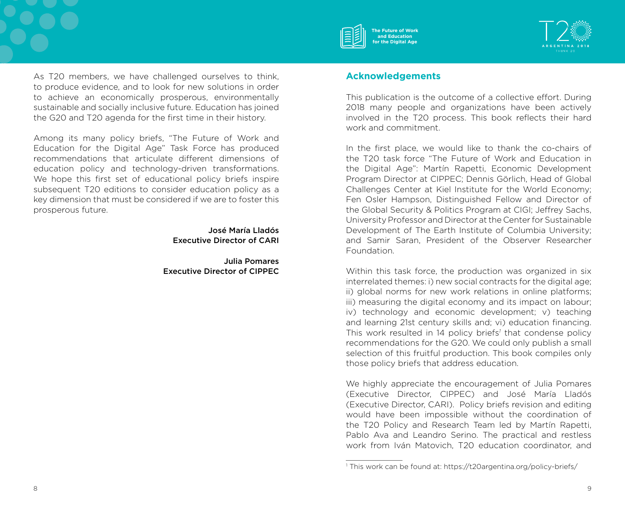

As T20 members, we have challenged ourselves to think, to produce evidence, and to look for new solutions in order to achieve an economically prosperous, environmentally sustainable and socially inclusive future. Education has joined the G20 and T20 agenda for the first time in their history.

Among its many policy briefs, "The Future of Work and Education for the Digital Age" Task Force has produced recommendations that articulate different dimensions of education policy and technology-driven transformations. We hope this first set of educational policy briefs inspire subsequent T20 editions to consider education policy as a key dimension that must be considered if we are to foster this prosperous future.

> José María Lladós Executive Director of CARI

Julia Pomares Executive Director of CIPPEC

#### **Acknowledgements**

This publication is the outcome of a collective effort. During 2018 many people and organizations have been actively involved in the T20 process. This book reflects their hard work and commitment.

In the first place, we would like to thank the co-chairs of the T20 task force "The Future of Work and Education in the Digital Age": Martín Rapetti, Economic Development Program Director at CIPPEC; Dennis Görlich, Head of Global Challenges Center at Kiel Institute for the World Economy; Fen Osler Hampson, Distinguished Fellow and Director of the Global Security & Politics Program at CIGI; Jeffrey Sachs, University Professor and Director at the Center for Sustainable Development of The Earth Institute of Columbia University; and Samir Saran, President of the Observer Researcher Foundation.

Within this task force, the production was organized in six interrelated themes: i) new social contracts for the digital age; ii) global norms for new work relations in online platforms; iii) measuring the digital economy and its impact on labour; iv) technology and economic development; v) teaching and learning 21st century skills and; vi) education financing. This work resulted in 14 policy briefs*<sup>1</sup>* that condense policy recommendations for the G20. We could only publish a small selection of this fruitful production. This book compiles only those policy briefs that address education.

We highly appreciate the encouragement of Julia Pomares (Executive Director, CIPPEC) and José María Lladós (Executive Director, CARI). Policy briefs revision and editing would have been impossible without the coordination of the T20 Policy and Research Team led by Martín Rapetti, Pablo Ava and Leandro Serino. The practical and restless work from Iván Matovich, T20 education coordinator, and

<sup>1</sup> This work can be found at: https://t20argentina.org/policy-briefs/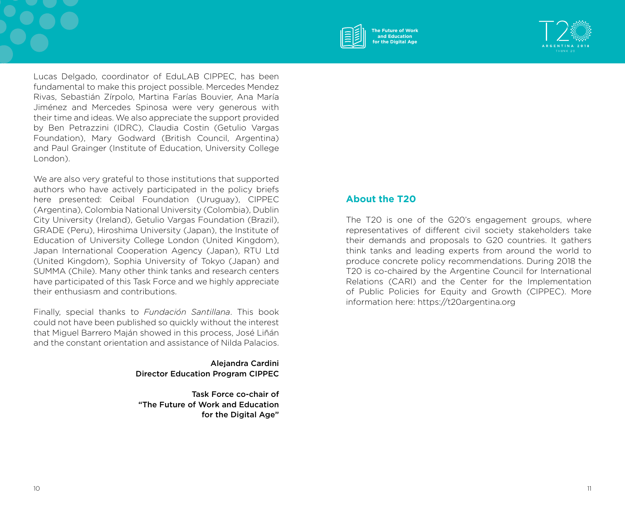

Lucas Delgado, coordinator of EduLAB CIPPEC, has been fundamental to make this project possible. Mercedes Mendez Rivas, Sebastián Zírpolo, Martina Farías Bouvier, Ana María Jiménez and Mercedes Spinosa were very generous with their time and ideas. We also appreciate the support provided by Ben Petrazzini (IDRC), Claudia Costin (Getulio Vargas Foundation), Mary Godward (British Council, Argentina) and Paul Grainger (Institute of Education, University College London).

We are also very grateful to those institutions that supported authors who have actively participated in the policy briefs here presented: Ceibal Foundation (Uruguay), CIPPEC (Argentina), Colombia National University (Colombia), Dublin City University (Ireland), Getulio Vargas Foundation (Brazil), GRADE (Peru), Hiroshima University (Japan), the Institute of Education of University College London (United Kingdom), Japan International Cooperation Agency (Japan), RTU Ltd (United Kingdom), Sophia University of Tokyo (Japan) and SUMMA (Chile). Many other think tanks and research centers have participated of this Task Force and we highly appreciate their enthusiasm and contributions.

Finally, special thanks to *Fundación Santillana*. This book could not have been published so quickly without the interest that Miguel Barrero Maján showed in this process, José Liñán and the constant orientation and assistance of Nilda Palacios.

> Alejandra Cardini Director Education Program CIPPEC

Task Force co-chair of "The Future of Work and Education for the Digital Age"

# **About the T20**

The T20 is one of the G20's engagement groups, where representatives of different civil society stakeholders take their demands and proposals to G20 countries. It gathers think tanks and leading experts from around the world to produce concrete policy recommendations. During 2018 the T20 is co-chaired by the Argentine Council for International Relations (CARI) and the Center for the Implementation of Public Policies for Equity and Growth (CIPPEC). More information here: https://t20argentina.org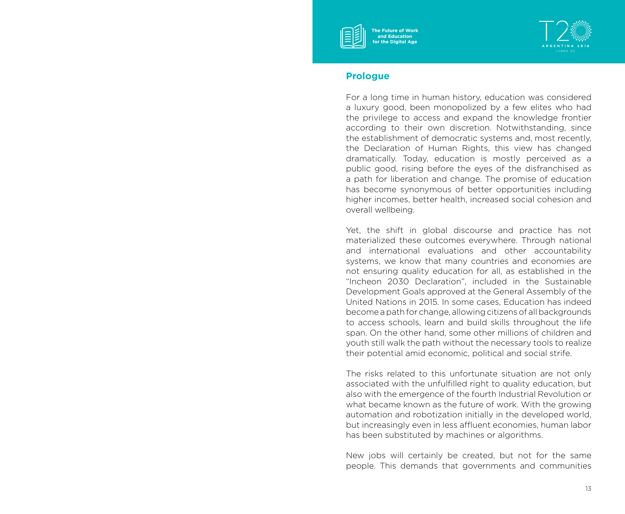



#### **Prologue**

For a long time in human history, education was considered a luxury good, been monopolized by a few elites who had the privilege to access and expand the knowledge frontier according to their own discretion. Notwithstanding, since the establishment of democratic systems and, most recently, the Declaration of Human Rights, this view has changed dramatically. Today, education is mostly perceived as a public good, rising before the eyes of the disfranchised as a path for liberation and change. The promise of education has become synonymous of better opportunities including higher incomes, better health, increased social cohesion and overall wellbeing.

Yet, the shift in global discourse and practice has not materialized these outcomes everywhere. Through national and international evaluations and other accountability systems, we know that many countries and economies are not ensuring quality education for all, as established in the "Incheon 2030 Declaration", included in the Sustainable Development Goals approved at the General Assembly of the United Nations in 2015. In some cases, Education has indeed become a path for change, allowing citizens of all backgrounds to access schools, learn and build skills throughout the life span. On the other hand, some other millions of children and youth still walk the path without the necessary tools to realize their potential amid economic, political and social strife.

The risks related to this unfortunate situation are not only associated with the unfulfilled right to quality education, but also with the emergence of the fourth Industrial Revolution or what became known as the future of work. With the growing automation and robotization initially in the developed world, but increasingly even in less affluent economies, human labor has been substituted by machines or algorithms.

New jobs will certainly be created, but not for the same people. This demands that governments and communities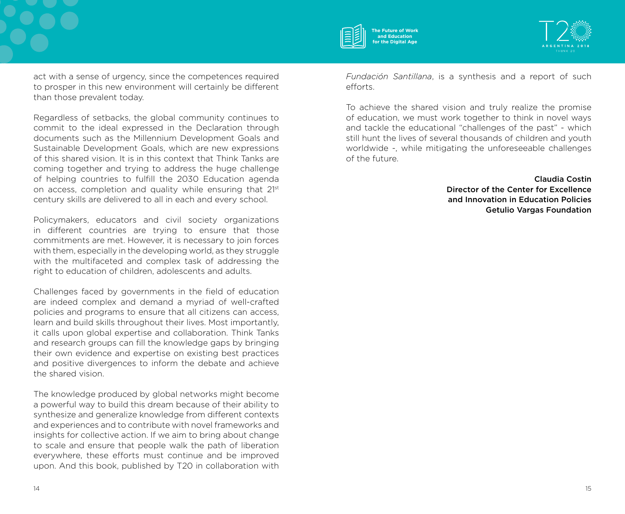

act with a sense of urgency, since the competences required to prosper in this new environment will certainly be different than those prevalent today.

Regardless of setbacks, the global community continues to commit to the ideal expressed in the Declaration through documents such as the Millennium Development Goals and Sustainable Development Goals, which are new expressions of this shared vision. It is in this context that Think Tanks are coming together and trying to address the huge challenge of helping countries to fulfill the 2030 Education agenda on access, completion and quality while ensuring that 21<sup>st</sup> century skills are delivered to all in each and every school.

Policymakers, educators and civil society organizations in different countries are trying to ensure that those commitments are met. However, it is necessary to join forces with them, especially in the developing world, as they struggle with the multifaceted and complex task of addressing the right to education of children, adolescents and adults.

Challenges faced by governments in the field of education are indeed complex and demand a myriad of well-crafted policies and programs to ensure that all citizens can access, learn and build skills throughout their lives. Most importantly, it calls upon global expertise and collaboration. Think Tanks and research groups can fill the knowledge gaps by bringing their own evidence and expertise on existing best practices and positive divergences to inform the debate and achieve the shared vision.

The knowledge produced by global networks might become a powerful way to build this dream because of their ability to synthesize and generalize knowledge from different contexts and experiences and to contribute with novel frameworks and insights for collective action. If we aim to bring about change to scale and ensure that people walk the path of liberation everywhere, these efforts must continue and be improved upon. And this book, published by T20 in collaboration with

*Fundación Santillana*, is a synthesis and a report of such efforts.

To achieve the shared vision and truly realize the promise of education, we must work together to think in novel ways and tackle the educational "challenges of the past" - which still hunt the lives of several thousands of children and youth worldwide -, while mitigating the unforeseeable challenges of the future.

#### Claudia Costin Director of the Center for Excellence and Innovation in Education Policies Getulio Vargas Foundation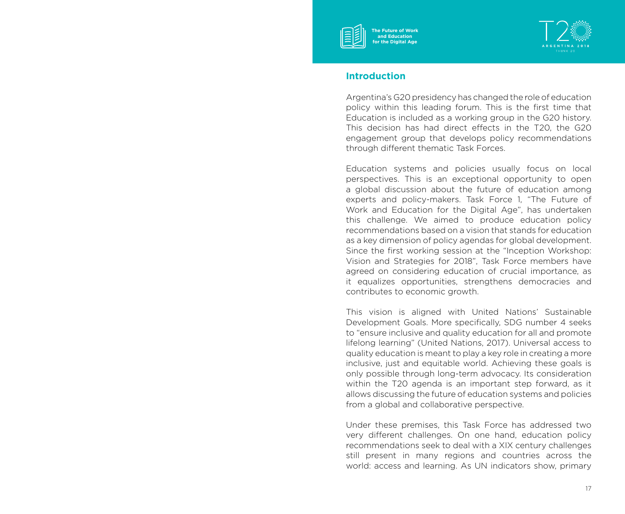



### **Introduction**

Argentina's G20 presidency has changed the role of education policy within this leading forum. This is the first time that Education is included as a working group in the G20 history. This decision has had direct effects in the T20, the G20 engagement group that develops policy recommendations through different thematic Task Forces.

Education systems and policies usually focus on local perspectives. This is an exceptional opportunity to open a global discussion about the future of education among experts and policy-makers. Task Force 1, "The Future of Work and Education for the Digital Age", has undertaken this challenge. We aimed to produce education policy recommendations based on a vision that stands for education as a key dimension of policy agendas for global development. Since the first working session at the "Inception Workshop: Vision and Strategies for 2018", Task Force members have agreed on considering education of crucial importance, as it equalizes opportunities, strengthens democracies and contributes to economic growth.

This vision is aligned with United Nations' Sustainable Development Goals. More specifically, SDG number 4 seeks to "ensure inclusive and quality education for all and promote lifelong learning" (United Nations, 2017). Universal access to quality education is meant to play a key role in creating a more inclusive, just and equitable world. Achieving these goals is only possible through long-term advocacy. Its consideration within the T20 agenda is an important step forward, as it allows discussing the future of education systems and policies from a global and collaborative perspective.

Under these premises, this Task Force has addressed two very different challenges. On one hand, education policy recommendations seek to deal with a XIX century challenges still present in many regions and countries across the world: access and learning. As UN indicators show, primary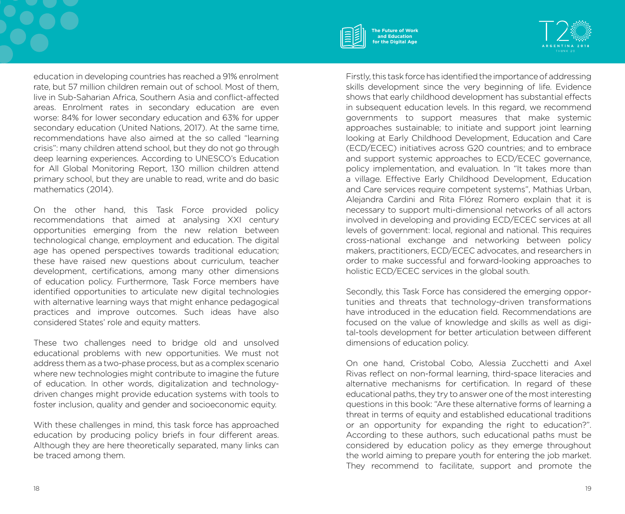

education in developing countries has reached a 91% enrolment rate, but 57 million children remain out of school. Most of them, live in Sub-Saharian Africa, Southern Asia and conflict-affected areas. Enrolment rates in secondary education are even worse: 84% for lower secondary education and 63% for upper secondary education (United Nations, 2017). At the same time, recommendations have also aimed at the so called "learning crisis": many children attend school, but they do not go through deep learning experiences. According to UNESCO's Education for All Global Monitoring Report, 130 million children attend primary school, but they are unable to read, write and do basic mathematics (2014).

On the other hand, this Task Force provided policy recommendations that aimed at analysing XXI century opportunities emerging from the new relation between technological change, employment and education. The digital age has opened perspectives towards traditional education; these have raised new questions about curriculum, teacher development, certifications, among many other dimensions of education policy. Furthermore, Task Force members have identified opportunities to articulate new digital technologies with alternative learning ways that might enhance pedagogical practices and improve outcomes. Such ideas have also considered States' role and equity matters.

These two challenges need to bridge old and unsolved educational problems with new opportunities. We must not address them as a two-phase process, but as a complex scenario where new technologies might contribute to imagine the future of education. In other words, digitalization and technologydriven changes might provide education systems with tools to foster inclusion, quality and gender and socioeconomic equity.

With these challenges in mind, this task force has approached education by producing policy briefs in four different areas. Although they are here theoretically separated, many links can be traced among them.

Firstly, this task force has identified the importance of addressing skills development since the very beginning of life. Evidence shows that early childhood development has substantial effects in subsequent education levels. In this regard, we recommend governments to support measures that make systemic approaches sustainable; to initiate and support joint learning looking at Early Childhood Development, Education and Care (ECD/ECEC) initiatives across G20 countries; and to embrace and support systemic approaches to ECD/ECEC governance, policy implementation, and evaluation. In "It takes more than a village. Effective Early Childhood Development, Education and Care services require competent systems", Mathias Urban, Alejandra Cardini and Rita Flórez Romero explain that it is necessary to support multi-dimensional networks of all actors involved in developing and providing ECD/ECEC services at all levels of government: local, regional and national. This requires cross-national exchange and networking between policy makers, practitioners, ECD/ECEC advocates, and researchers in order to make successful and forward-looking approaches to holistic ECD/ECEC services in the global south.

Secondly, this Task Force has considered the emerging opportunities and threats that technology-driven transformations have introduced in the education field. Recommendations are focused on the value of knowledge and skills as well as digital-tools development for better articulation between different dimensions of education policy.

On one hand, Cristobal Cobo, Alessia Zucchetti and Axel Rivas reflect on non-formal learning, third-space literacies and alternative mechanisms for certification. In regard of these educational paths, they try to answer one of the most interesting questions in this book: "Are these alternative forms of learning a threat in terms of equity and established educational traditions or an opportunity for expanding the right to education?". According to these authors, such educational paths must be considered by education policy as they emerge throughout the world aiming to prepare youth for entering the job market. They recommend to facilitate, support and promote the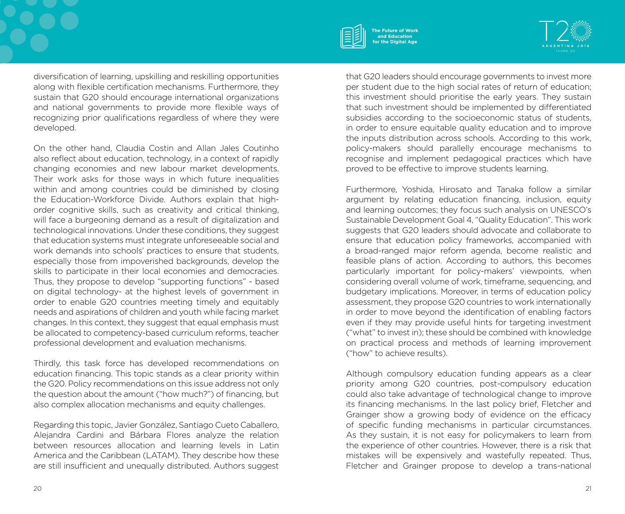

diversification of learning, upskilling and reskilling opportunities along with flexible certification mechanisms. Furthermore, they sustain that G20 should encourage international organizations and national governments to provide more flexible ways of recognizing prior qualifications regardless of where they were developed.

On the other hand, Claudia Costin and Allan Jales Coutinho also reflect about education, technology, in a context of rapidly changing economies and new labour market developments. Their work asks for those ways in which future inequalities within and among countries could be diminished by closing the Education-Workforce Divide. Authors explain that highorder cognitive skills, such as creativity and critical thinking, will face a burgeoning demand as a result of digitalization and technological innovations. Under these conditions, they suggest that education systems must integrate unforeseeable social and work demands into schools' practices to ensure that students, especially those from impoverished backgrounds, develop the skills to participate in their local economies and democracies. Thus, they propose to develop "supporting functions" - based on digital technology- at the highest levels of government in order to enable G20 countries meeting timely and equitably needs and aspirations of children and youth while facing market changes. In this context, they suggest that equal emphasis must be allocated to competency-based curriculum reforms, teacher professional development and evaluation mechanisms.

Thirdly, this task force has developed recommendations on education financing. This topic stands as a clear priority within the G20. Policy recommendations on this issue address not only the question about the amount ("how much?") of financing, but also complex allocation mechanisms and equity challenges.

Regarding this topic, Javier González, Santiago Cueto Caballero, Alejandra Cardini and Bárbara Flores analyze the relation between resources allocation and learning levels in Latin America and the Caribbean (LATAM). They describe how these are still insufficient and unequally distributed. Authors suggest that G20 leaders should encourage governments to invest more per student due to the high social rates of return of education; this investment should prioritise the early years. They sustain that such investment should be implemented by differentiated subsidies according to the socioeconomic status of students, in order to ensure equitable quality education and to improve the inputs distribution across schools. According to this work, policy-makers should parallelly encourage mechanisms to recognise and implement pedagogical practices which have proved to be effective to improve students learning.

Furthermore, Yoshida, Hirosato and Tanaka follow a similar argument by relating education financing, inclusion, equity and learning outcomes; they focus such analysis on UNESCO's Sustainable Development Goal 4, "Quality Education". This work suggests that G20 leaders should advocate and collaborate to ensure that education policy frameworks, accompanied with a broad-ranged major reform agenda, become realistic and feasible plans of action. According to authors, this becomes particularly important for policy-makers' viewpoints, when considering overall volume of work, timeframe, sequencing, and budgetary implications. Moreover, in terms of education policy assessment, they propose G20 countries to work internationally in order to move beyond the identification of enabling factors even if they may provide useful hints for targeting investment ("what" to invest in); these should be combined with knowledge on practical process and methods of learning improvement ("how" to achieve results).

Although compulsory education funding appears as a clear priority among G20 countries, post-compulsory education could also take advantage of technological change to improve its financing mechanisms. In the last policy brief, Fletcher and Grainger show a growing body of evidence on the efficacy of specific funding mechanisms in particular circumstances. As they sustain, it is not easy for policymakers to learn from the experience of other countries. However, there is a risk that mistakes will be expensively and wastefully repeated. Thus, Fletcher and Grainger propose to develop a trans-national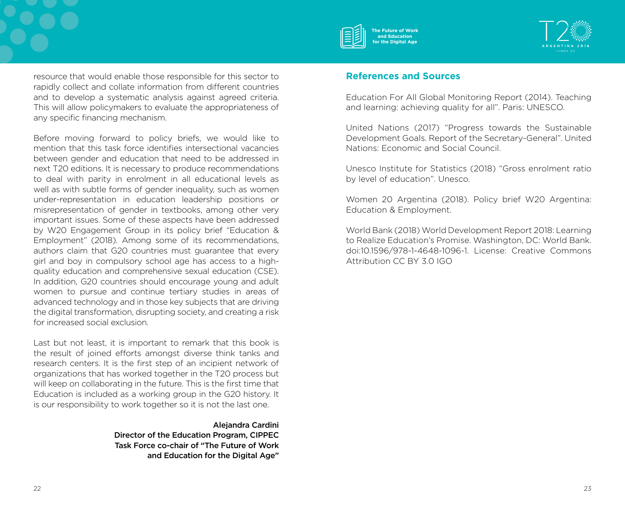

resource that would enable those responsible for this sector to rapidly collect and collate information from different countries and to develop a systematic analysis against agreed criteria. This will allow policymakers to evaluate the appropriateness of any specific financing mechanism.

Before moving forward to policy briefs, we would like to mention that this task force identifies intersectional vacancies between gender and education that need to be addressed in next T20 editions. It is necessary to produce recommendations to deal with parity in enrolment in all educational levels as well as with subtle forms of gender inequality, such as women under-representation in education leadership positions or misrepresentation of gender in textbooks, among other very important issues. Some of these aspects have been addressed by W20 Engagement Group in its policy brief "Education & Employment" (2018). Among some of its recommendations, authors claim that G20 countries must guarantee that every girl and boy in compulsory school age has access to a highquality education and comprehensive sexual education (CSE). In addition, G20 countries should encourage young and adult women to pursue and continue tertiary studies in areas of advanced technology and in those key subjects that are driving the digital transformation, disrupting society, and creating a risk for increased social exclusion.

Last but not least, it is important to remark that this book is the result of joined efforts amongst diverse think tanks and research centers. It is the first step of an incipient network of organizations that has worked together in the T20 process but will keep on collaborating in the future. This is the first time that Education is included as a working group in the G20 history. It is our responsibility to work together so it is not the last one.

#### Alejandra Cardini

Director of the Education Program, CIPPEC Task Force co-chair of "The Future of Work and Education for the Digital Age"

### **References and Sources**

Education For All Global Monitoring Report (2014). Teaching and learning: achieving quality for all". Paris: UNESCO.

United Nations (2017) "Progress towards the Sustainable Development Goals. Report of the Secretary-General". United Nations: Economic and Social Council.

Unesco Institute for Statistics (2018) "Gross enrolment ratio by level of education". Unesco.

Women 20 Argentina (2018). Policy brief W20 Argentina: Education & Employment.

World Bank (2018) World Development Report 2018: Learning to Realize Education's Promise. Washington, DC: World Bank. doi:10.1596/978-1-4648-1096-1. License: Creative Commons Attribution CC BY 3.0 IGO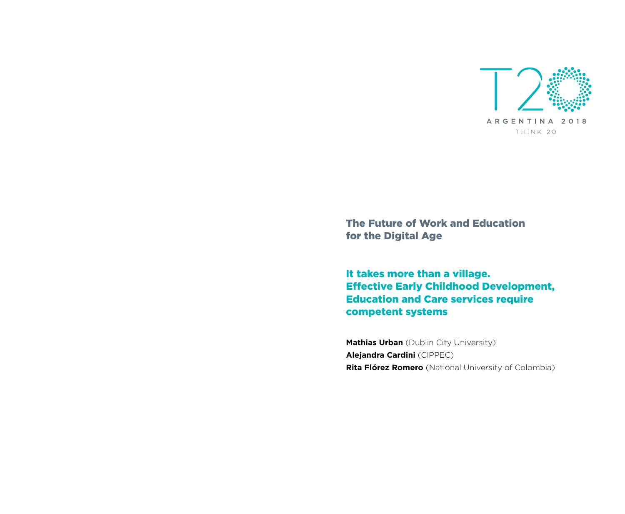

It takes more than a village. Effective Early Childhood Development, Education and Care services require competent systems

**Mathias Urban** (Dublin City University) **Alejandra Cardini** (CIPPEC) **Rita Flórez Romero** (National University of Colombia)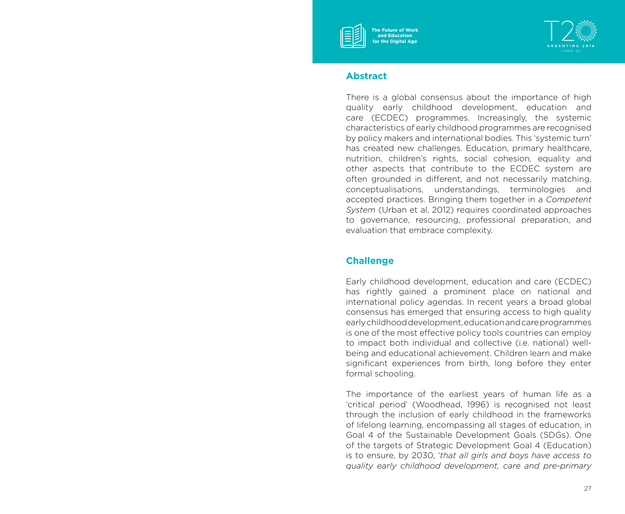

#### **Abstract**

There is a global consensus about the importance of high quality early childhood development, education and care (ECDEC) programmes. Increasingly, the systemic characteristics of early childhood programmes are recognised by policy makers and international bodies. This 'systemic turn' has created new challenges. Education, primary healthcare, nutrition, children's rights, social cohesion, equality and other aspects that contribute to the ECDEC system are often grounded in different, and not necessarily matching, conceptualisations, understandings, terminologies and accepted practices. Bringing them together in a *Competent System* (Urban et al, 2012) requires coordinated approaches to governance, resourcing, professional preparation, and evaluation that embrace complexity.

# **Challenge**

Early childhood development, education and care (ECDEC) has rightly gained a prominent place on national and international policy agendas. In recent years a broad global consensus has emerged that ensuring access to high quality early childhood development, education and care programmes is one of the most effective policy tools countries can employ to impact both individual and collective (i.e. national) wellbeing and educational achievement. Children learn and make significant experiences from birth, long before they enter formal schooling.

The importance of the earliest years of human life as a 'critical period' (Woodhead, 1996) is recognised not least through the inclusion of early childhood in the frameworks of lifelong learning, encompassing all stages of education, in Goal 4 of the Sustainable Development Goals (SDGs). One of the targets of Strategic Development Goal 4 (Education) is to ensure, by 2030, '*that all girls and boys have access to quality early childhood development, care and pre-primary*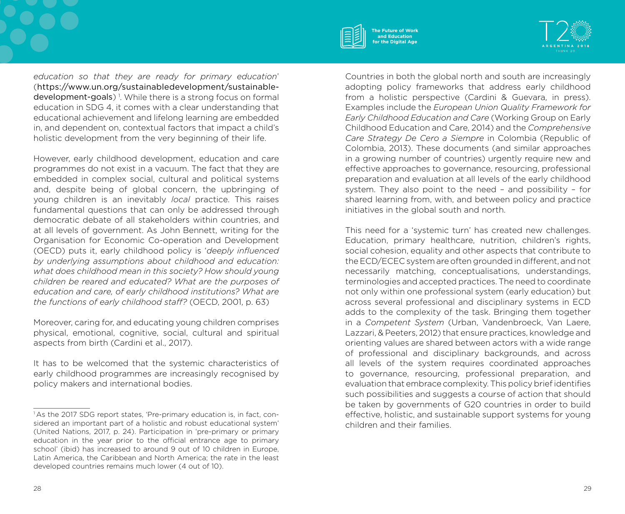

*education so that they are ready for primary education*' (https://www.un.org/sustainabledevelopment/sustainabledevelopment-goals)<sup>1</sup>. While there is a strong focus on formal education in SDG 4, it comes with a clear understanding that educational achievement and lifelong learning are embedded in, and dependent on, contextual factors that impact a child's holistic development from the very beginning of their life.

However, early childhood development, education and care programmes do not exist in a vacuum. The fact that they are embedded in complex social, cultural and political systems and, despite being of global concern, the upbringing of young children is an inevitably *local* practice. This raises fundamental questions that can only be addressed through democratic debate of all stakeholders within countries, and at all levels of government. As John Bennett, writing for the Organisation for Economic Co-operation and Development (OECD) puts it, early childhood policy is '*deeply influenced by underlying assumptions about childhood and education: what does childhood mean in this society? How should young children be reared and educated? What are the purposes of education and care, of early childhood institutions? What are the functions of early childhood staff?* (OECD, 2001, p. 63)

Moreover, caring for, and educating young children comprises physical, emotional, cognitive, social, cultural and spiritual aspects from birth (Cardini et al., 2017).

It has to be welcomed that the systemic characteristics of early childhood programmes are increasingly recognised by policy makers and international bodies.

Countries in both the global north and south are increasingly adopting policy frameworks that address early childhood from a holistic perspective (Cardini & Guevara, in press). Examples include the *European Union Quality Framework for Early Childhood Education and Care* (Working Group on Early Childhood Education and Care, 2014) and the *Comprehensive Care Strategy De Cero a Siempre* in Colombia (Republic of Colombia, 2013). These documents (and similar approaches in a growing number of countries) urgently require new and effective approaches to governance, resourcing, professional preparation and evaluation at all levels of the early childhood system. They also point to the need – and possibility – for shared learning from, with, and between policy and practice initiatives in the global south and north.

This need for a 'systemic turn' has created new challenges. Education, primary healthcare, nutrition, children's rights, social cohesion, equality and other aspects that contribute to the ECD/ECEC system are often grounded in different, and not necessarily matching, conceptualisations, understandings, terminologies and accepted practices. The need to coordinate not only within one professional system (early education) but across several professional and disciplinary systems in ECD adds to the complexity of the task. Bringing them together in a *Competent System* (Urban, Vandenbroeck, Van Laere, Lazzari, & Peeters, 2012) that ensure practices, knowledge and orienting values are shared between actors with a wide range of professional and disciplinary backgrounds, and across all levels of the system requires coordinated approaches to governance, resourcing, professional preparation, and evaluation that embrace complexity. This policy brief identifies such possibilities and suggests a course of action that should be taken by governments of G20 countries in order to build effective, holistic, and sustainable support systems for young children and their families.

<sup>1</sup> As the 2017 SDG report states, 'Pre-primary education is, in fact, considered an important part of a holistic and robust educational system' (United Nations, 2017, p. 24). Participation in 'pre-primary or primary education in the year prior to the official entrance age to primary school' (ibid) has increased to around 9 out of 10 children in Europe, Latin America, the Caribbean and North America; the rate in the least developed countries remains much lower (4 out of 10).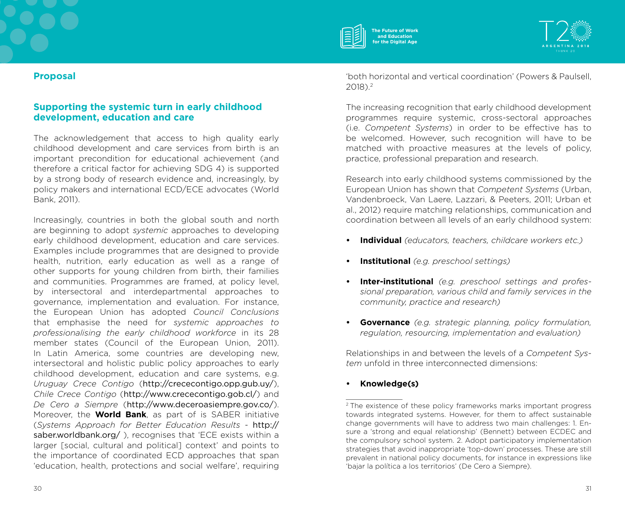

#### **Proposal**

#### **Supporting the systemic turn in early childhood development, education and care**

The acknowledgement that access to high quality early childhood development and care services from birth is an important precondition for educational achievement (and therefore a critical factor for achieving SDG 4) is supported by a strong body of research evidence and, increasingly, by policy makers and international ECD/ECE advocates (World Bank, 2011).

Increasingly, countries in both the global south and north are beginning to adopt *systemic* approaches to developing early childhood development, education and care services. Examples include programmes that are designed to provide health, nutrition, early education as well as a range of other supports for young children from birth, their families and communities. Programmes are framed, at policy level, by intersectoral and interdepartmental approaches to governance, implementation and evaluation. For instance, the European Union has adopted *Council Conclusions* that emphasise the need for *systemic approaches to professionalising the early childhood workforce* in its 28 member states (Council of the European Union, 2011). In Latin America, some countries are developing new, intersectoral and holistic public policy approaches to early childhood development, education and care systems, e.g. *Uruguay Crece Contigo* (http://crececontigo.opp.gub.uy/), *Chile Crece Contigo* (http://www.crececontigo.gob.cl/) and *De Cero a Siempre* (http://www.deceroasiempre.gov.co/). Moreover, the **World Bank**, as part of is SABER initiative (*Systems Approach for Better Education Results* - http:// saber.worldbank.org/ ), recognises that 'ECE exists within a larger [social, cultural and political] context' and points to the importance of coordinated ECD approaches that span 'education, health, protections and social welfare', requiring

'both horizontal and vertical coordination' (Powers & Paulsell, 2018).2

The increasing recognition that early childhood development programmes require systemic, cross-sectoral approaches (i.e. *Competent Systems*) in order to be effective has to be welcomed. However, such recognition will have to be matched with proactive measures at the levels of policy, practice, professional preparation and research.

Research into early childhood systems commissioned by the European Union has shown that *Competent Systems* (Urban, Vandenbroeck, Van Laere, Lazzari, & Peeters, 2011; Urban et al., 2012) require matching relationships, communication and coordination between all levels of an early childhood system:

- **• Individual** *(educators, teachers, childcare workers etc.)*
- **• Institutional** *(e.g. preschool settings)*
- **• Inter-institutional** *(e.g. preschool settings and professional preparation, various child and family services in the community, practice and research)*
- **• Governance** *(e.g. strategic planning, policy formulation, regulation, resourcing, implementation and evaluation)*

Relationships in and between the levels of a *Competent System* unfold in three interconnected dimensions:

**• Knowledge(s)**

<sup>&</sup>lt;sup>2</sup> The existence of these policy frameworks marks important progress towards integrated systems. However, for them to affect sustainable change governments will have to address two main challenges: 1. Ensure a 'strong and equal relationship' (Bennett) between ECDEC and the compulsory school system. 2. Adopt participatory implementation strategies that avoid inappropriate 'top-down' processes. These are still prevalent in national policy documents, for instance in expressions like 'bajar la política a los territorios' (De Cero a Siempre).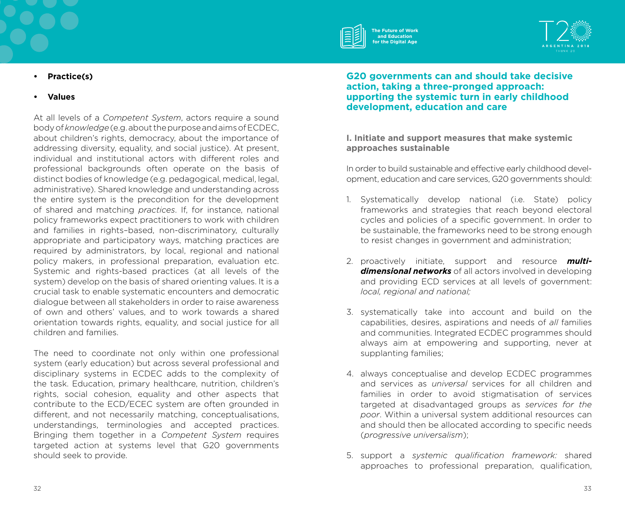



#### **• Practice(s)**

**• Values**

At all levels of a *Competent System*, actors require a sound body of *knowledge* (e.g. about the purpose and aims of ECDEC, about children's rights, democracy, about the importance of addressing diversity, equality, and social justice). At present, individual and institutional actors with different roles and professional backgrounds often operate on the basis of distinct bodies of knowledge (e.g. pedagogical, medical, legal, administrative). Shared knowledge and understanding across the entire system is the precondition for the development of shared and matching *practices*. If, for instance, national policy frameworks expect practitioners to work with children and families in rights–based, non-discriminatory, culturally appropriate and participatory ways, matching practices are required by administrators, by local, regional and national policy makers, in professional preparation, evaluation etc. Systemic and rights-based practices (at all levels of the system) develop on the basis of shared orienting values. It is a crucial task to enable systematic encounters and democratic dialogue between all stakeholders in order to raise awareness of own and others' values, and to work towards a shared orientation towards rights, equality, and social justice for all children and families.

The need to coordinate not only within one professional system (early education) but across several professional and disciplinary systems in ECDEC adds to the complexity of the task. Education, primary healthcare, nutrition, children's rights, social cohesion, equality and other aspects that contribute to the ECD/ECEC system are often grounded in different, and not necessarily matching, conceptualisations, understandings, terminologies and accepted practices. Bringing them together in a *Competent System* requires targeted action at systems level that G20 governments should seek to provide.

**G20 governments can and should take decisive action, taking a three-pronged approach: upporting the systemic turn in early childhood development, education and care**

**I. Initiate and support measures that make systemic approaches sustainable**

In order to build sustainable and effective early childhood development, education and care services, G20 governments should:

- 1. Systematically develop national (i.e. State) policy frameworks and strategies that reach beyond electoral cycles and policies of a specific government. In order to be sustainable, the frameworks need to be strong enough to resist changes in government and administration;
- 2. proactively initiate, support and resource *multidimensional networks* of all actors involved in developing and providing ECD services at all levels of government: *local, regional and national;*
- 3. systematically take into account and build on the capabilities, desires, aspirations and needs of *all* families and communities. Integrated ECDEC programmes should always aim at empowering and supporting, never at supplanting families;
- 4. always conceptualise and develop ECDEC programmes and services as *universal* services for all children and families in order to avoid stigmatisation of services targeted at disadvantaged groups as *services for the poor*. Within a universal system additional resources can and should then be allocated according to specific needs (*progressive universalism*);
- 5. support a *systemic qualification framework:* shared approaches to professional preparation, qualification,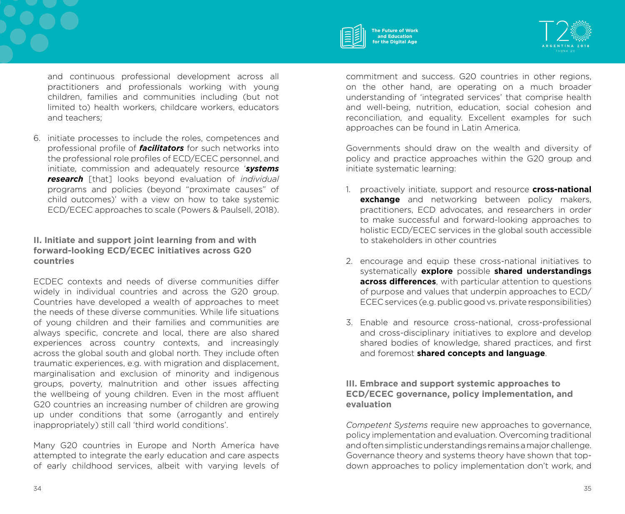

and continuous professional development across all practitioners and professionals working with young children, families and communities including (but not limited to) health workers, childcare workers, educators and teachers;

6. initiate processes to include the roles, competences and professional profile of *facilitators* for such networks into the professional role profiles of ECD/ECEC personnel, and initiate, commission and adequately resource '*systems research* [that] looks beyond evaluation of *individual* programs and policies (beyond "proximate causes" of child outcomes)' with a view on how to take systemic ECD/ECEC approaches to scale (Powers & Paulsell, 2018).

#### **II. Initiate and support joint learning from and with forward-looking ECD/ECEC initiatives across G20 countries**

ECDEC contexts and needs of diverse communities differ widely in individual countries and across the G20 group. Countries have developed a wealth of approaches to meet the needs of these diverse communities. While life situations of young children and their families and communities are always specific, concrete and local, there are also shared experiences across country contexts, and increasingly across the global south and global north. They include often traumatic experiences, e.g. with migration and displacement, marginalisation and exclusion of minority and indigenous groups, poverty, malnutrition and other issues affecting the wellbeing of young children. Even in the most affluent G20 countries an increasing number of children are growing up under conditions that some (arrogantly and entirely inappropriately) still call 'third world conditions'.

Many G20 countries in Europe and North America have attempted to integrate the early education and care aspects of early childhood services, albeit with varying levels of commitment and success. G20 countries in other regions, on the other hand, are operating on a much broader understanding of 'integrated services' that comprise health and well-being, nutrition, education, social cohesion and reconciliation, and equality. Excellent examples for such approaches can be found in Latin America.

Governments should draw on the wealth and diversity of policy and practice approaches within the G20 group and initiate systematic learning:

- 1. proactively initiate, support and resource **cross-national exchange** and networking between policy makers, practitioners, ECD advocates, and researchers in order to make successful and forward-looking approaches to holistic ECD/ECEC services in the global south accessible to stakeholders in other countries
- 2. encourage and equip these cross-national initiatives to systematically **explore** possible **shared understandings across differences**, with particular attention to questions of purpose and values that underpin approaches to ECD/ ECEC services (e.g. public good vs. private responsibilities)
- 3. Enable and resource cross-national, cross-professional and cross-disciplinary initiatives to explore and develop shared bodies of knowledge, shared practices, and first and foremost **shared concepts and language**.

#### **III. Embrace and support systemic approaches to ECD/ECEC governance, policy implementation, and evaluation**

*Competent Systems* require new approaches to governance, policy implementation and evaluation. Overcoming traditional and often simplistic understandings remains a major challenge. Governance theory and systems theory have shown that topdown approaches to policy implementation don't work, and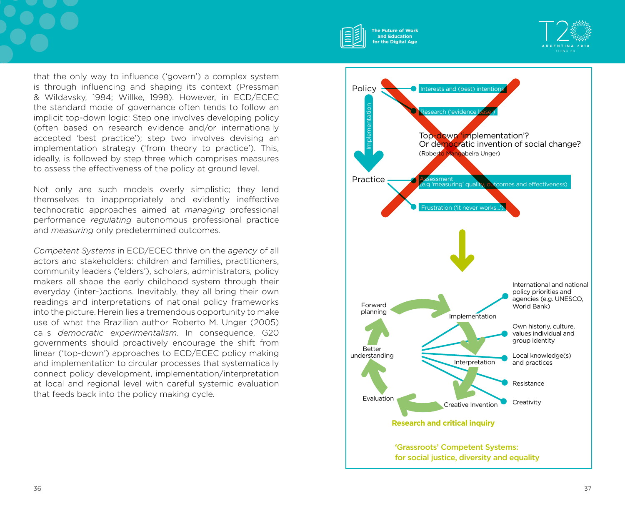



that the only way to influence ('govern') a complex system is through influencing and shaping its context (Pressman & Wildavsky, 1984; Willke, 1998). However, in ECD/ECEC the standard mode of governance often tends to follow an implicit top-down logic: Step one involves developing policy (often based on research evidence and/or internationally accepted 'best practice'); step two involves devising an implementation strategy ('from theory to practice'). This, ideally, is followed by step three which comprises measures to assess the effectiveness of the policy at ground level.

Not only are such models overly simplistic; they lend themselves to inappropriately and evidently ineffective technocratic approaches aimed at *managing* professional performance *regulating* autonomous professional practice and *measuring* only predetermined outcomes.

*Competent Systems* in ECD/ECEC thrive on the *agency* of all actors and stakeholders: children and families, practitioners, community leaders ('elders'), scholars, administrators, policy makers all shape the early childhood system through their everyday (inter-)actions. Inevitably, they all bring their own readings and interpretations of national policy frameworks into the picture. Herein lies a tremendous opportunity to make use of what the Brazilian author Roberto M. Unger (2005) calls *democratic experimentalism.* In consequence, G20 governments should proactively encourage the shift from linear ('top-down') approaches to ECD/ECEC policy making and implementation to circular processes that systematically connect policy development, implementation/interpretation at local and regional level with careful systemic evaluation that feeds back into the policy making cycle.

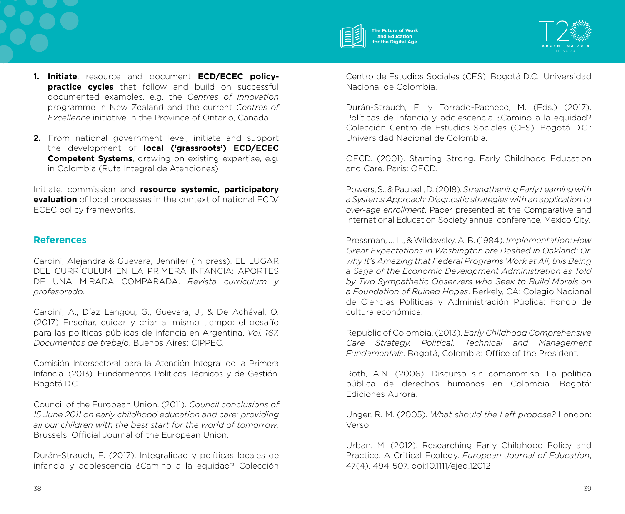

**2.** From national government level, initiate and support the development of **local ('grassroots') ECD/ECEC Competent Systems**, drawing on existing expertise, e.g. in Colombia (Ruta Integral de Atenciones)

Initiate, commission and **resource systemic, participatory evaluation** of local processes in the context of national ECD/ ECEC policy frameworks.

#### **References**

Cardini, Alejandra & Guevara, Jennifer (in press). EL LUGAR DEL CURRÍCULUM EN LA PRIMERA INFANCIA: APORTES DE UNA MIRADA COMPARADA. *Revista currículum y profesorado*.

Cardini, A., Díaz Langou, G., Guevara, J., & De Achával, O. (2017) Enseñar, cuidar y criar al mismo tiempo: el desafío para las políticas públicas de infancia en Argentina. *Vol. 167. Documentos de trabajo*. Buenos Aires: CIPPEC.

Comisión Intersectoral para la Atención Integral de la Primera Infancia. (2013). Fundamentos Políticos Técnicos y de Gestión. Bogotá D.C.

Council of the European Union. (2011). *Council conclusions of 15 June 2011 on early childhood education and care: providing all our children with the best start for the world of tomorrow*. Brussels: Official Journal of the European Union.

Durán-Strauch, E. (2017). Integralidad y políticas locales de infancia y adolescencia ¿Camino a la equidad? Colección





Centro de Estudios Sociales (CES). Bogotá D.C.: Universidad Nacional de Colombia.

Durán-Strauch, E. y Torrado-Pacheco, M. (Eds.) (2017). Políticas de infancia y adolescencia ¿Camino a la equidad? Colección Centro de Estudios Sociales (CES). Bogotá D.C.: Universidad Nacional de Colombia.

OECD. (2001). Starting Strong. Early Childhood Education and Care. Paris: OECD.

Powers, S., & Paulsell, D. (2018). *Strengthening Early Learning with a Systems Approach: Diagnostic strategies with an application to over-age enrollment*. Paper presented at the Comparative and International Education Society annual conference, Mexico City.

Pressman, J. L., & Wildavsky, A. B. (1984). *Implementation: How Great Expectations in Washington are Dashed in Oakland: Or, why It's Amazing that Federal Programs Work at All, this Being a Saga of the Economic Development Administration as Told by Two Sympathetic Observers who Seek to Build Morals on a Foundation of Ruined Hopes*. Berkely, CA: Colegio Nacional de Ciencias Políticas y Administración Pública: Fondo de cultura económica.

Republic of Colombia. (2013). *Early Childhood Comprehensive Care Strategy. Political, Technical and Management Fundamentals*. Bogotá, Colombia: Office of the President.

Roth, A.N. (2006). Discurso sin compromiso. La política pública de derechos humanos en Colombia. Bogotá: Ediciones Aurora.

Unger, R. M. (2005). *What should the Left propose?* London: Verso.

Urban, M. (2012). Researching Early Childhood Policy and Practice. A Critical Ecology. *European Journal of Education*, 47(4), 494-507. doi:10.1111/ejed.12012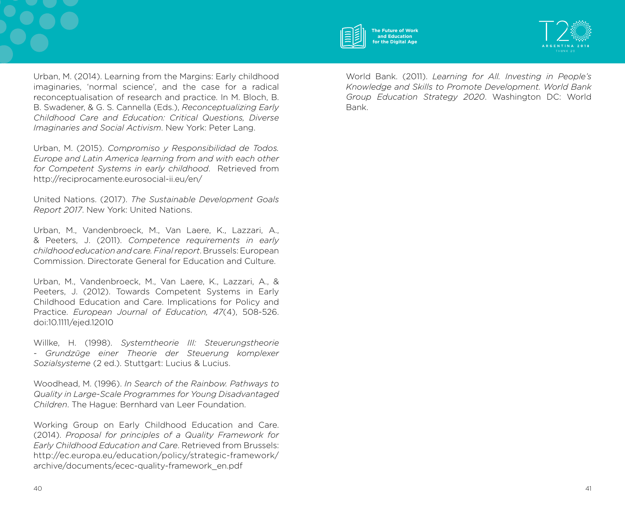

Urban, M. (2014). Learning from the Margins: Early childhood imaginaries, 'normal science', and the case for a radical reconceptualisation of research and practice. In M. Bloch, B. B. Swadener, & G. S. Cannella (Eds.), *Reconceptualizing Early Childhood Care and Education: Critical Questions, Diverse Imaginaries and Social Activism*. New York: Peter Lang.

Urban, M. (2015). *Compromiso y Responsibilidad de Todos. Europe and Latin America learning from and with each other for Competent Systems in early childhood*. Retrieved from http://reciprocamente.eurosocial-ii.eu/en/

United Nations. (2017). *The Sustainable Development Goals Report 2017*. New York: United Nations.

Urban, M., Vandenbroeck, M., Van Laere, K., Lazzari, A., & Peeters, J. (2011). *Competence requirements in early childhood education and care. Final report*. Brussels: European Commission. Directorate General for Education and Culture.

Urban, M., Vandenbroeck, M., Van Laere, K., Lazzari, A., & Peeters, J. (2012). Towards Competent Systems in Early Childhood Education and Care. Implications for Policy and Practice. *European Journal of Education, 47*(4), 508-526. doi:10.1111/ejed.12010

Willke, H. (1998). *Systemtheorie III: Steuerungstheorie - Grundzüge einer Theorie der Steuerung komplexer Sozialsysteme* (2 ed.). Stuttgart: Lucius & Lucius.

Woodhead, M. (1996). *In Search of the Rainbow. Pathways to Quality in Large-Scale Programmes for Young Disadvantaged Children*. The Hague: Bernhard van Leer Foundation.

Working Group on Early Childhood Education and Care. (2014). *Proposal for principles of a Quality Framework for Early Childhood Education and Care*. Retrieved from Brussels: http://ec.europa.eu/education/policy/strategic-framework/ archive/documents/ecec-quality-framework\_en.pdf

World Bank. (2011). *Learning for All. Investing in People's Knowledge and Skills to Promote Development. World Bank Group Education Strategy 2020*. Washington DC: World Bank.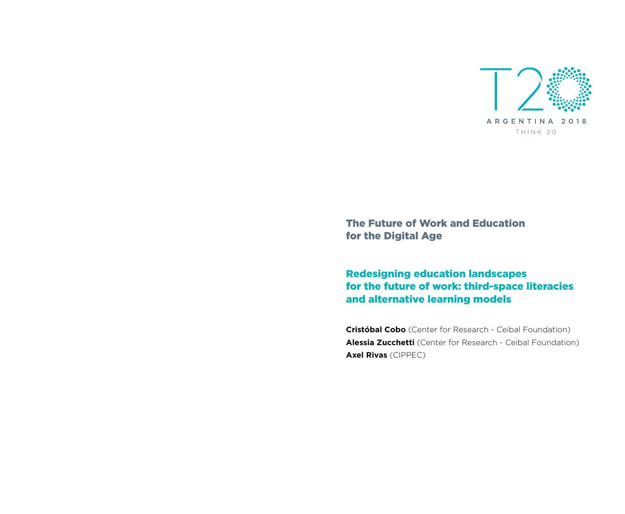

Redesigning education landscapes for the future of work: third-space literacies and alternative learning models

**Cristóbal Cobo** (Center for Research - Ceibal Foundation) **Alessia Zucchetti** (Center for Research - Ceibal Foundation) **Axel Rivas** (CIPPEC)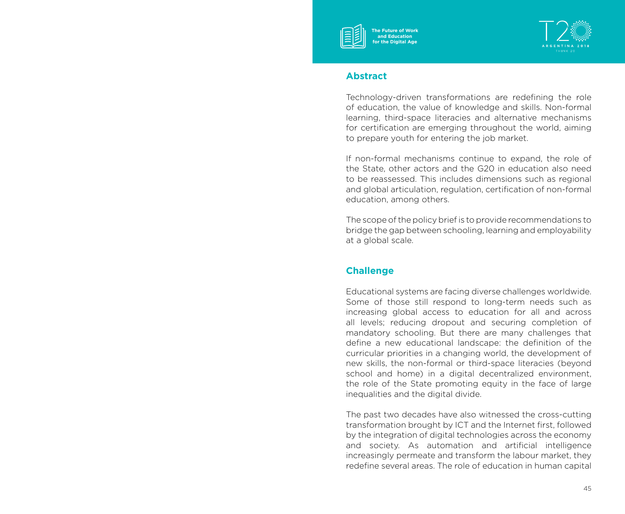



### **Abstract**

Technology-driven transformations are redefining the role of education, the value of knowledge and skills. Non-formal learning, third-space literacies and alternative mechanisms for certification are emerging throughout the world, aiming to prepare youth for entering the job market.

If non-formal mechanisms continue to expand, the role of the State, other actors and the G20 in education also need to be reassessed. This includes dimensions such as regional and global articulation, regulation, certification of non-formal education, among others.

The scope of the policy brief is to provide recommendations to bridge the gap between schooling, learning and employability at a global scale.

# **Challenge**

Educational systems are facing diverse challenges worldwide. Some of those still respond to long-term needs such as increasing global access to education for all and across all levels; reducing dropout and securing completion of mandatory schooling. But there are many challenges that define a new educational landscape: the definition of the curricular priorities in a changing world, the development of new skills, the non-formal or third-space literacies (beyond school and home) in a digital decentralized environment, the role of the State promoting equity in the face of large inequalities and the digital divide.

The past two decades have also witnessed the cross-cutting transformation brought by ICT and the Internet first, followed by the integration of digital technologies across the economy and society. As automation and artificial intelligence increasingly permeate and transform the labour market, they redefine several areas. The role of education in human capital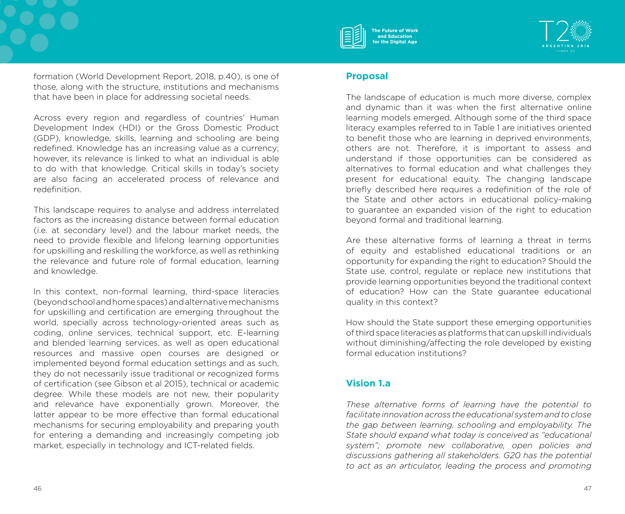

formation (World Development Report, 2018, p.40), is one of those, along with the structure, institutions and mechanisms that have been in place for addressing societal needs.

Across every region and regardless of countries' Human Development Index (HDI) or the Gross Domestic Product (GDP), knowledge, skills, learning and schooling are being redefined. Knowledge has an increasing value as a currency; however, its relevance is linked to what an individual is able to do with that knowledge. Critical skills in today's society are also facing an accelerated process of relevance and redefinition.

This landscape requires to analyse and address interrelated factors as the increasing distance between formal education (i.e. at secondary level) and the labour market needs, the need to provide flexible and lifelong learning opportunities for upskilling and reskilling the workforce, as well as rethinking the relevance and future role of formal education, learning and knowledge.

In this context, non-formal learning, third-space literacies (beyond school and home spaces) and alternative mechanisms for upskilling and certification are emerging throughout the world, specially across technology-oriented areas such as coding, online services, technical support, etc. E-learning and blended learning services, as well as open educational resources and massive open courses are designed or implemented beyond formal education settings and as such, they do not necessarily issue traditional or recognized forms of certification (see Gibson et al 2015), technical or academic degree. While these models are not new, their popularity and relevance have exponentially grown. Moreover, the latter appear to be more effective than formal educational mechanisms for securing employability and preparing youth for entering a demanding and increasingly competing job market, especially in technology and ICT-related fields.

# **Proposal**

The landscape of education is much more diverse, complex and dynamic than it was when the first alternative online learning models emerged. Although some of the third space literacy examples referred to in Table 1 are initiatives oriented to benefit those who are learning in deprived environments, others are not. Therefore, it is important to assess and understand if those opportunities can be considered as alternatives to formal education and what challenges they present for educational equity. The changing landscape briefly described here requires a redefinition of the role of the State and other actors in educational policy-making to guarantee an expanded vision of the right to education beyond formal and traditional learning.

Are these alternative forms of learning a threat in terms of equity and established educational traditions or an opportunity for expanding the right to education? Should the State use, control, regulate or replace new institutions that provide learning opportunities beyond the traditional context of education? How can the State guarantee educational quality in this context?

How should the State support these emerging opportunities of third space literacies as platforms that can upskill individuals without diminishing/affecting the role developed by existing formal education institutions?

# **Vision 1.a**

*These alternative forms of learning have the potential to facilitate innovation across the educational system and to close the gap between learning, schooling and employability. The State should expand what today is conceived as "educational system"; promote new collaborative, open policies and discussions gathering all stakeholders. G20 has the potential to act as an articulator, leading the process and promoting*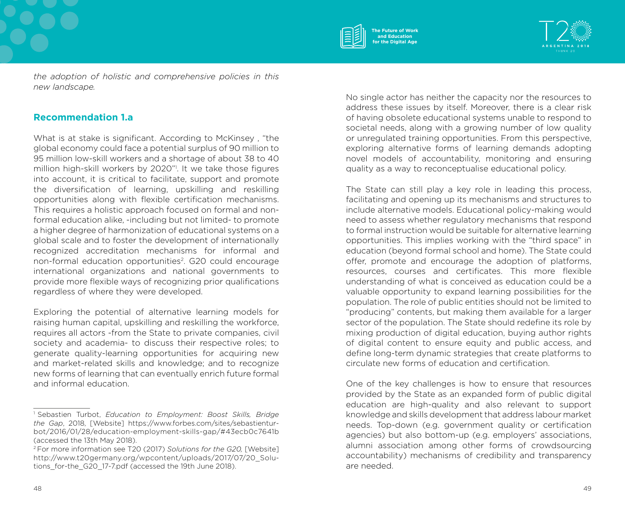

*the adoption of holistic and comprehensive policies in this new landscape.*

# **Recommendation 1.a**

What is at stake is significant. According to McKinsey , "the global economy could face a potential surplus of 90 million to 95 million low-skill workers and a shortage of about 38 to 40 million high-skill workers by 2020"1 . It we take those figures into account, it is critical to facilitate, support and promote the diversification of learning, upskilling and reskilling opportunities along with flexible certification mechanisms. This requires a holistic approach focused on formal and nonformal education alike, -including but not limited- to promote a higher degree of harmonization of educational systems on a global scale and to foster the development of internationally recognized accreditation mechanisms for informal and non-formal education opportunities<sup>2</sup>. G20 could encourage international organizations and national governments to provide more flexible ways of recognizing prior qualifications regardless of where they were developed.

Exploring the potential of alternative learning models for raising human capital, upskilling and reskilling the workforce, requires all actors -from the State to private companies, civil society and academia- to discuss their respective roles; to generate quality-learning opportunities for acquiring new and market-related skills and knowledge; and to recognize new forms of learning that can eventually enrich future formal and informal education.

No single actor has neither the capacity nor the resources to address these issues by itself. Moreover, there is a clear risk of having obsolete educational systems unable to respond to societal needs, along with a growing number of low quality or unregulated training opportunities. From this perspective, exploring alternative forms of learning demands adopting novel models of accountability, monitoring and ensuring quality as a way to reconceptualise educational policy.

The State can still play a key role in leading this process, facilitating and opening up its mechanisms and structures to include alternative models. Educational policy-making would need to assess whether regulatory mechanisms that respond to formal instruction would be suitable for alternative learning opportunities. This implies working with the "third space" in education (beyond formal school and home). The State could offer, promote and encourage the adoption of platforms, resources, courses and certificates. This more flexible understanding of what is conceived as education could be a valuable opportunity to expand learning possibilities for the population. The role of public entities should not be limited to "producing" contents, but making them available for a larger sector of the population. The State should redefine its role by mixing production of digital education, buying author rights of digital content to ensure equity and public access, and define long-term dynamic strategies that create platforms to circulate new forms of education and certification.

One of the key challenges is how to ensure that resources provided by the State as an expanded form of public digital education are high-quality and also relevant to support knowledge and skills development that address labour market needs. Top-down (e.g. government quality or certification agencies) but also bottom-up (e.g. employers' associations, alumni association among other forms of crowdsourcing accountability) mechanisms of credibility and transparency are needed.

<sup>1</sup> Sebastien Turbot, *Education to Employment: Boost Skills, Bridge the Gap*, 2018, [Website] https://www.forbes.com/sites/sebastienturbot/2016/01/28/education-employment-skills-gap/#43ecb0c7641b (accessed the 13th May 2018).

<sup>2</sup> For more information see T20 (2017) *Solutions for the G20,* [Website] http://www.t20germany.org/wpcontent/uploads/2017/07/20\_Solutions for-the G20 17-7.pdf (accessed the 19th June 2018).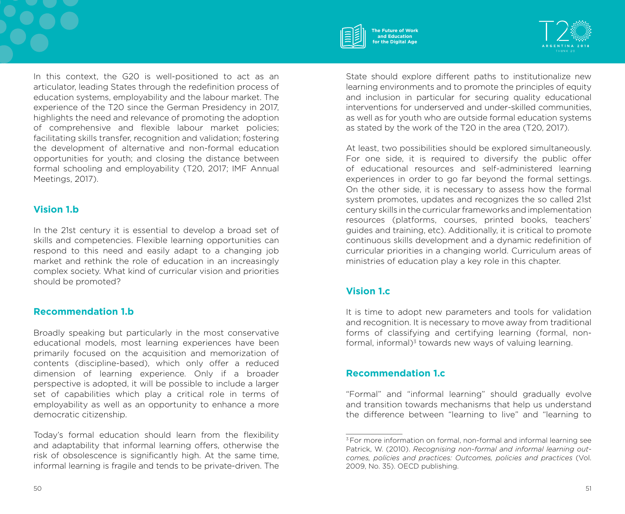

### **Vision 1.b**

In the 21st century it is essential to develop a broad set of skills and competencies. Flexible learning opportunities can respond to this need and easily adapt to a changing job market and rethink the role of education in an increasingly complex society. What kind of curricular vision and priorities should be promoted?

#### **Recommendation 1.b**

Broadly speaking but particularly in the most conservative educational models, most learning experiences have been primarily focused on the acquisition and memorization of contents (discipline-based), which only offer a reduced dimension of learning experience. Only if a broader perspective is adopted, it will be possible to include a larger set of capabilities which play a critical role in terms of employability as well as an opportunity to enhance a more democratic citizenship.

Today's formal education should learn from the flexibility and adaptability that informal learning offers, otherwise the risk of obsolescence is significantly high. At the same time, informal learning is fragile and tends to be private-driven. The



**The Future of Work and Education for the Digital Age**

State should explore different paths to institutionalize new learning environments and to promote the principles of equity and inclusion in particular for securing quality educational interventions for underserved and under-skilled communities, as well as for youth who are outside formal education systems as stated by the work of the T20 in the area (T20, 2017).

At least, two possibilities should be explored simultaneously. For one side, it is required to diversify the public offer of educational resources and self-administered learning experiences in order to go far beyond the formal settings. On the other side, it is necessary to assess how the formal system promotes, updates and recognizes the so called 21st century skills in the curricular frameworks and implementation resources (platforms, courses, printed books, teachers' guides and training, etc). Additionally, it is critical to promote continuous skills development and a dynamic redefinition of curricular priorities in a changing world. Curriculum areas of ministries of education play a key role in this chapter.

# **Vision 1.c**

It is time to adopt new parameters and tools for validation and recognition. It is necessary to move away from traditional forms of classifying and certifying learning (formal, nonformal, informal) $3$  towards new ways of valuing learning.

# **Recommendation 1.c**

"Formal" and "informal learning" should gradually evolve and transition towards mechanisms that help us understand the difference between "learning to live" and "learning to

<sup>&</sup>lt;sup>3</sup> For more information on formal, non-formal and informal learning see Patrick, W. (2010). *Recognising non-formal and informal learning outcomes, policies and practices: Outcomes, policies and practices* (Vol. 2009, No. 35). OECD publishing.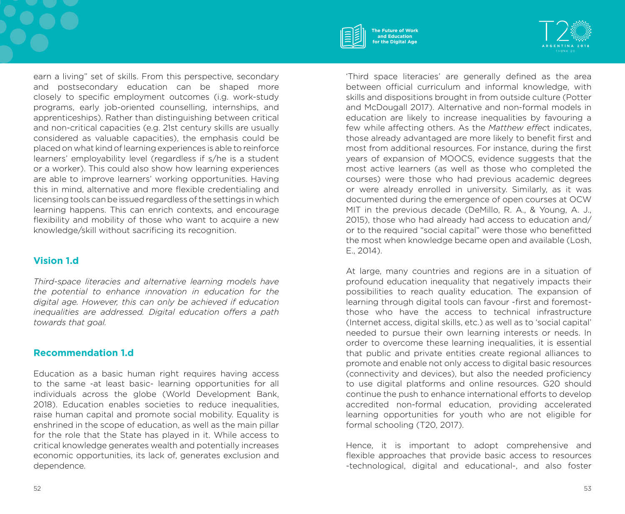

earn a living" set of skills. From this perspective, secondary and postsecondary education can be shaped more closely to specific employment outcomes (i.g. work-study programs, early job-oriented counselling, internships, and apprenticeships). Rather than distinguishing between critical and non-critical capacities (e.g. 21st century skills are usually considered as valuable capacities), the emphasis could be placed on what kind of learning experiences is able to reinforce learners' employability level (regardless if s/he is a student or a worker). This could also show how learning experiences are able to improve learners' working opportunities. Having this in mind, alternative and more flexible credentialing and licensing tools can be issued regardless of the settings in which learning happens. This can enrich contexts, and encourage flexibility and mobility of those who want to acquire a new knowledge/skill without sacrificing its recognition.

### **Vision 1.d**

*Third-space literacies and alternative learning models have the potential to enhance innovation in education for the digital age. However, this can only be achieved if education inequalities are addressed. Digital education offers a path towards that goal.* 

# **Recommendation 1.d**

Education as a basic human right requires having access to the same -at least basic- learning opportunities for all individuals across the globe (World Development Bank, 2018). Education enables societies to reduce inequalities, raise human capital and promote social mobility. Equality is enshrined in the scope of education, as well as the main pillar for the role that the State has played in it. While access to critical knowledge generates wealth and potentially increases economic opportunities, its lack of, generates exclusion and dependence.

'Third space literacies' are generally defined as the area between official curriculum and informal knowledge, with skills and dispositions brought in from outside culture (Potter and McDougall 2017). Alternative and non-formal models in education are likely to increase inequalities by favouring a few while affecting others. As the *Matthew effec*t indicates, those already advantaged are more likely to benefit first and most from additional resources. For instance, during the first years of expansion of MOOCS, evidence suggests that the most active learners (as well as those who completed the courses) were those who had previous academic degrees or were already enrolled in university. Similarly, as it was documented during the emergence of open courses at OCW MIT in the previous decade (DeMillo, R. A., & Young, A. J., 2015), those who had already had access to education and/ or to the required "social capital" were those who benefitted the most when knowledge became open and available (Losh, E., 2014).

At large, many countries and regions are in a situation of profound education inequality that negatively impacts their possibilities to reach quality education. The expansion of learning through digital tools can favour -first and foremostthose who have the access to technical infrastructure (Internet access, digital skills, etc.) as well as to 'social capital' needed to pursue their own learning interests or needs. In order to overcome these learning inequalities, it is essential that public and private entities create regional alliances to promote and enable not only access to digital basic resources (connectivity and devices), but also the needed proficiency to use digital platforms and online resources. G20 should continue the push to enhance international efforts to develop accredited non-formal education, providing accelerated learning opportunities for youth who are not eligible for formal schooling (T20, 2017).

Hence, it is important to adopt comprehensive and flexible approaches that provide basic access to resources -technological, digital and educational-, and also foster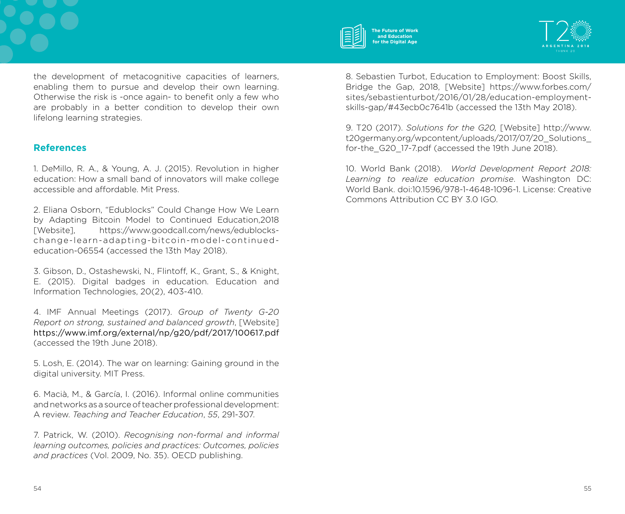

the development of metacognitive capacities of learners, enabling them to pursue and develop their own learning. Otherwise the risk is -once again- to benefit only a few who are probably in a better condition to develop their own lifelong learning strategies.

# **References**

1. DeMillo, R. A., & Young, A. J. (2015). Revolution in higher education: How a small band of innovators will make college accessible and affordable. Mit Press.

2. Eliana Osborn, "Edublocks" Could Change How We Learn by Adapting Bitcoin Model to Continued Education,2018 [Website], https://www.goodcall.com/news/edublockschange-learn-adapting-bitcoin-model-continuededucation-06554 (accessed the 13th May 2018).

3. Gibson, D., Ostashewski, N., Flintoff, K., Grant, S., & Knight, E. (2015). Digital badges in education. Education and Information Technologies, 20(2), 403-410.

4. IMF Annual Meetings (2017). *Group of Twenty G-20 Report on strong, sustained and balanced growth*, [Website] https://www.imf.org/external/np/g20/pdf/2017/100617.pdf (accessed the 19th June 2018).

5. Losh, E. (2014). The war on learning: Gaining ground in the digital university. MIT Press.

6. Macià, M., & García, I. (2016). Informal online communities and networks as a source of teacher professional development: A review. *Teaching and Teacher Education*, *55*, 291-307.

7. Patrick, W. (2010). *Recognising non-formal and informal learning outcomes, policies and practices: Outcomes, policies and practices* (Vol. 2009, No. 35). OECD publishing.

8. Sebastien Turbot, Education to Employment: Boost Skills, Bridge the Gap, 2018, [Website] https://www.forbes.com/ sites/sebastienturbot/2016/01/28/education-employmentskills-gap/#43ecb0c7641b (accessed the 13th May 2018).

9. T20 (2017). *Solutions for the G20,* [Website] http://www. t20germany.org/wpcontent/uploads/2017/07/20\_Solutions\_ for-the\_G20\_17-7.pdf (accessed the 19th June 2018).

10. World Bank (2018). *World Development Report 2018: Learning to realize education promise*. Washington DC: World Bank. doi:10.1596/978-1-4648-1096-1. License: Creative Commons Attribution CC BY 3.0 IGO.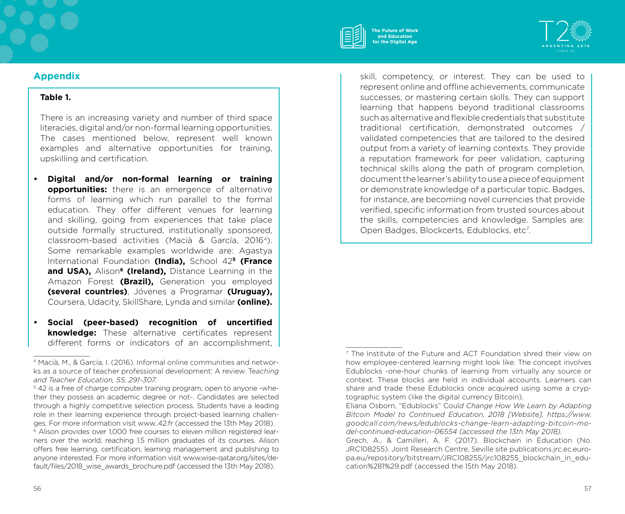



# **Appendix**

#### **Table 1.**

There is an increasing variety and number of third space literacies, digital and/or non-formal learning opportunities. The cases mentioned below, represent well known examples and alternative opportunities for training, upskilling and certification.

- **• Digital and/or non-formal learning or training opportunities:** there is an emergence of alternative forms of learning which run parallel to the formal education. They offer different venues for learning and skilling, going from experiences that take place outside formally structured, institutionally sponsored, classroom-based activities (Macià & García, 20164). Some remarkable examples worldwide are: Agastya International Foundation **(India),** School 42**5 (France**  and USA), Alison<sup>6</sup> (Ireland), Distance Learning in the Amazon Forest **(Brazil),** Generation you employed **(several countries)**, Jóvenes a Programar **(Uruguay),**  Coursera, Udacity, SkillShare, Lynda and similar **(online).**
- **• Social (peer-based) recognition of uncertified knowledge:** These alternative certificates represent different forms or indicators of an accomplishment,

skill, competency, or interest. They can be used to represent online and offline achievements, communicate successes, or mastering certain skills. They can support learning that happens beyond traditional classrooms such as alternative and flexible credentials that substitute traditional certification, demonstrated outcomes / validated competencies that are tailored to the desired output from a variety of learning contexts. They provide a reputation framework for peer validation, capturing technical skills along the path of program completion, document the learner's ability to use a piece of equipment or demonstrate knowledge of a particular topic. Badges, for instance, are becoming novel currencies that provide verified, specific information from trusted sources about the skills, competencies and knowledge. Samples are: Open Badges, Blockcerts, Edublocks, etc<sup>7</sup>.

<sup>4</sup> Macià, M., & García, I. (2016). Informal online communities and networks as a source of teacher professional development: A review. Te*aching and Teacher Education, 55, 291-307.*

<sup>&</sup>lt;sup>5</sup> 42 is a free of charge computer training program, open to anyone -whether they possess an academic degree or not-. Candidates are selected through a highly competitive selection process. Students have a leading role in their learning experience through project-based learning challenges. For more information visit www..42.fr (accessed the 13th May 2018).

<sup>&</sup>lt;sup>6</sup> Alison provides over 1,000 free courses to eleven million registered learners over the world, reaching 1.5 million graduates of its courses. Alison offers free learning, certification, learning management and publishing to anyone interested. For more information visit www.wise-qatar.org/sites/default/files/2018\_wise\_awards\_brochure.pdf (accessed the 13th May 2018).

<sup>7</sup> The Institute of the Future and ACT Foundation shred their view on how employee-centered learning might look like. The concept involves Edublocks -one-hour chunks of learning from virtually any source or context. These blocks are held in individual accounts. Learners can share and trade these Edublocks once acquired using some a cryptographic system (like the digital currency Bitcoin).

Eliana Osborn, "Edublocks" Coul*d Change How We Learn by Adapting Bitcoin Model to Continued Education, 2018 [Website], https://www. goodcall.com/news/edublocks-change-learn-adapting-bitcoin-model-continued-education-06554 (accessed the 13th May 2018).* 

Grech, A., & Camilleri, A. F. (2017). Blockchain in Education (No. JRC108255). Joint Research Centre, Seville site publications.jrc.ec.europa.eu/repository/bitstream/JRC108255/jrc108255\_blockchain\_in\_education%281%29.pdf (accessed the 15th May 2018).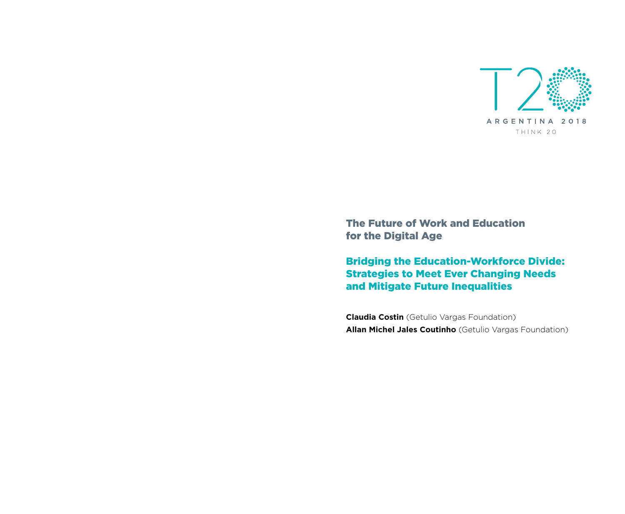

Bridging the Education-Workforce Divide: Strategies to Meet Ever Changing Needs and Mitigate Future Inequalities

**Claudia Costin** (Getulio Vargas Foundation) **Allan Michel Jales Coutinho** (Getulio Vargas Foundation)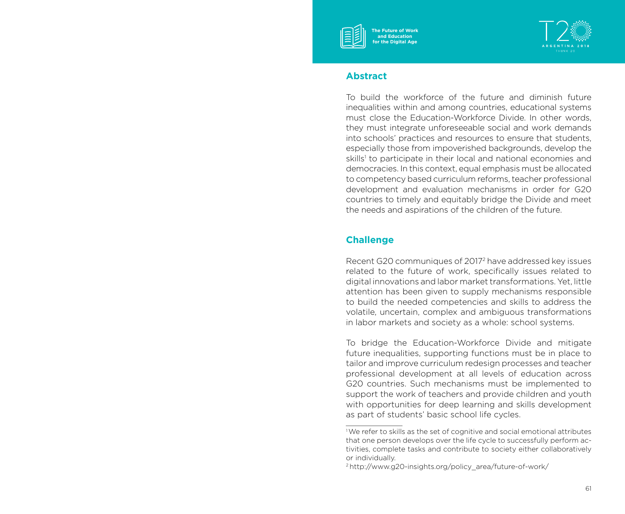



### **Abstract**

To build the workforce of the future and diminish future inequalities within and among countries, educational systems must close the Education-Workforce Divide. In other words, they must integrate unforeseeable social and work demands into schools' practices and resources to ensure that students, especially those from impoverished backgrounds, develop the skills<sup>1</sup> to participate in their local and national economies and democracies. In this context, equal emphasis must be allocated to competency based curriculum reforms, teacher professional development and evaluation mechanisms in order for G20 countries to timely and equitably bridge the Divide and meet the needs and aspirations of the children of the future.

# **Challenge**

Recent G20 communiques of 20172 have addressed key issues related to the future of work, specifically issues related to digital innovations and labor market transformations. Yet, little attention has been given to supply mechanisms responsible to build the needed competencies and skills to address the volatile, uncertain, complex and ambiguous transformations in labor markets and society as a whole: school systems.

To bridge the Education-Workforce Divide and mitigate future inequalities, supporting functions must be in place to tailor and improve curriculum redesign processes and teacher professional development at all levels of education across G20 countries. Such mechanisms must be implemented to support the work of teachers and provide children and youth with opportunities for deep learning and skills development as part of students' basic school life cycles.

<sup>&</sup>lt;sup>1</sup>We refer to skills as the set of cognitive and social emotional attributes that one person develops over the life cycle to successfully perform activities, complete tasks and contribute to society either collaboratively or individually.

<sup>2</sup> http://www.g20-insights.org/policy\_area/future-of-work/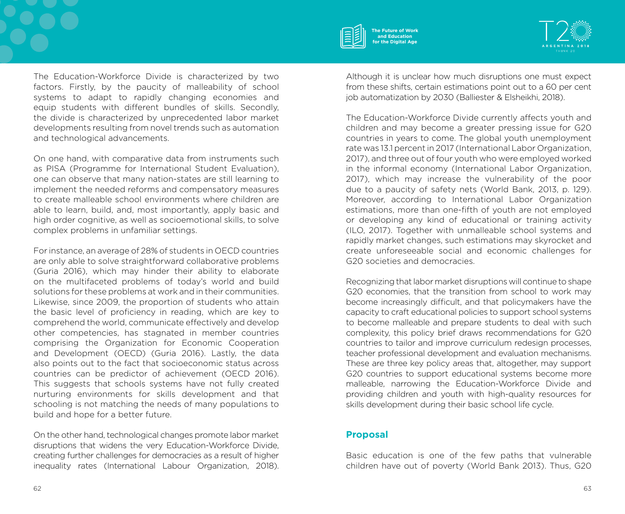

On one hand, with comparative data from instruments such as PISA (Programme for International Student Evaluation), one can observe that many nation-states are still learning to implement the needed reforms and compensatory measures to create malleable school environments where children are able to learn, build, and, most importantly, apply basic and high order cognitive, as well as socioemotional skills, to solve complex problems in unfamiliar settings.

For instance, an average of 28% of students in OECD countries are only able to solve straightforward collaborative problems (Guria 2016), which may hinder their ability to elaborate on the multifaceted problems of today's world and build solutions for these problems at work and in their communities. Likewise, since 2009, the proportion of students who attain the basic level of proficiency in reading, which are key to comprehend the world, communicate effectively and develop other competencies, has stagnated in member countries comprising the Organization for Economic Cooperation and Development (OECD) (Guria 2016). Lastly, the data also points out to the fact that socioeconomic status across countries can be predictor of achievement (OECD 2016). This suggests that schools systems have not fully created nurturing environments for skills development and that schooling is not matching the needs of many populations to build and hope for a better future.

On the other hand, technological changes promote labor market disruptions that widens the very Education-Workforce Divide, creating further challenges for democracies as a result of higher inequality rates (International Labour Organization, 2018).



**The Future of Work and Education for the Digital Age**

Although it is unclear how much disruptions one must expect from these shifts, certain estimations point out to a 60 per cent job automatization by 2030 (Balliester & Elsheikhi, 2018).

The Education-Workforce Divide currently affects youth and children and may become a greater pressing issue for G20 countries in years to come. The global youth unemployment rate was 13.1 percent in 2017 (International Labor Organization, 2017), and three out of four youth who were employed worked in the informal economy (International Labor Organization, 2017), which may increase the vulnerability of the poor due to a paucity of safety nets (World Bank, 2013, p. 129). Moreover, according to International Labor Organization estimations, more than one-fifth of youth are not employed or developing any kind of educational or training activity (ILO, 2017). Together with unmalleable school systems and rapidly market changes, such estimations may skyrocket and create unforeseeable social and economic challenges for G20 societies and democracies.

Recognizing that labor market disruptions will continue to shape G20 economies, that the transition from school to work may become increasingly difficult, and that policymakers have the capacity to craft educational policies to support school systems to become malleable and prepare students to deal with such complexity, this policy brief draws recommendations for G20 countries to tailor and improve curriculum redesign processes, teacher professional development and evaluation mechanisms. These are three key policy areas that, altogether, may support G20 countries to support educational systems become more malleable, narrowing the Education-Workforce Divide and providing children and youth with high-quality resources for skills development during their basic school life cycle.

# **Proposal**

Basic education is one of the few paths that vulnerable children have out of poverty (World Bank 2013). Thus, G20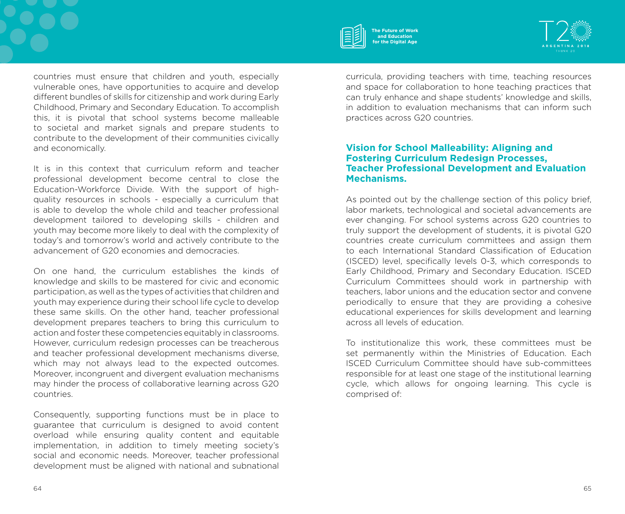

countries must ensure that children and youth, especially vulnerable ones, have opportunities to acquire and develop different bundles of skills for citizenship and work during Early Childhood, Primary and Secondary Education. To accomplish this, it is pivotal that school systems become malleable to societal and market signals and prepare students to contribute to the development of their communities civically and economically.

It is in this context that curriculum reform and teacher professional development become central to close the Education-Workforce Divide. With the support of highquality resources in schools - especially a curriculum that is able to develop the whole child and teacher professional development tailored to developing skills - children and youth may become more likely to deal with the complexity of today's and tomorrow's world and actively contribute to the advancement of G20 economies and democracies.

On one hand, the curriculum establishes the kinds of knowledge and skills to be mastered for civic and economic participation, as well as the types of activities that children and youth may experience during their school life cycle to develop these same skills. On the other hand, teacher professional development prepares teachers to bring this curriculum to action and foster these competencies equitably in classrooms. However, curriculum redesign processes can be treacherous and teacher professional development mechanisms diverse, which may not always lead to the expected outcomes. Moreover, incongruent and divergent evaluation mechanisms may hinder the process of collaborative learning across G20 countries.

Consequently, supporting functions must be in place to guarantee that curriculum is designed to avoid content overload while ensuring quality content and equitable implementation, in addition to timely meeting society's social and economic needs. Moreover, teacher professional development must be aligned with national and subnational

curricula, providing teachers with time, teaching resources and space for collaboration to hone teaching practices that can truly enhance and shape students' knowledge and skills, in addition to evaluation mechanisms that can inform such practices across G20 countries.

#### **Vision for School Malleability: Aligning and Fostering Curriculum Redesign Processes, Teacher Professional Development and Evaluation Mechanisms.**

As pointed out by the challenge section of this policy brief, labor markets, technological and societal advancements are ever changing. For school systems across G20 countries to truly support the development of students, it is pivotal G20 countries create curriculum committees and assign them to each International Standard Classification of Education (ISCED) level, specifically levels 0-3, which corresponds to Early Childhood, Primary and Secondary Education. ISCED Curriculum Committees should work in partnership with teachers, labor unions and the education sector and convene periodically to ensure that they are providing a cohesive educational experiences for skills development and learning across all levels of education.

To institutionalize this work, these committees must be set permanently within the Ministries of Education. Each ISCED Curriculum Committee should have sub-committees responsible for at least one stage of the institutional learning cycle, which allows for ongoing learning. This cycle is comprised of: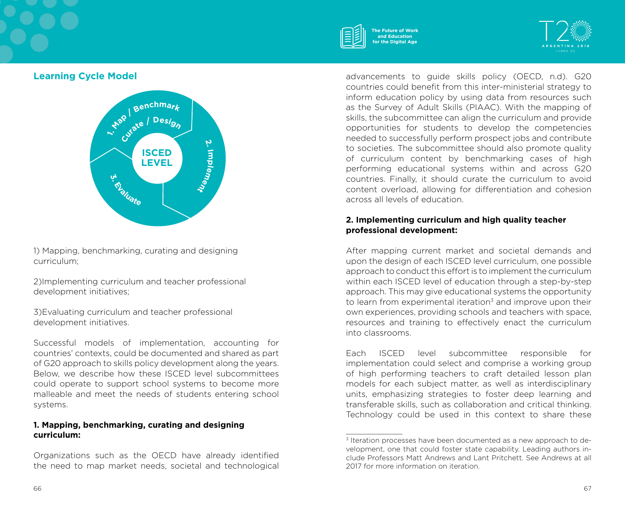



# **Learning Cycle Model**



1) Mapping, benchmarking, curating and designing curriculum;

2)Implementing curriculum and teacher professional development initiatives;

3)Evaluating curriculum and teacher professional development initiatives.

Successful models of implementation, accounting for countries' contexts, could be documented and shared as part of G20 approach to skills policy development along the years. Below, we describe how these ISCED level subcommittees could operate to support school systems to become more malleable and meet the needs of students entering school systems.

#### **1. Mapping, benchmarking, curating and designing curriculum:**

Organizations such as the OECD have already identified the need to map market needs, societal and technological advancements to guide skills policy (OECD, n.d). G20 countries could benefit from this inter-ministerial strategy to inform education policy by using data from resources such as the Survey of Adult Skills (PIAAC). With the mapping of skills, the subcommittee can align the curriculum and provide opportunities for students to develop the competencies needed to successfully perform prospect jobs and contribute to societies. The subcommittee should also promote quality of curriculum content by benchmarking cases of high performing educational systems within and across G20 countries. Finally, it should curate the curriculum to avoid content overload, allowing for differentiation and cohesion across all levels of education.

#### **2. Implementing curriculum and high quality teacher professional development:**

After mapping current market and societal demands and upon the design of each ISCED level curriculum, one possible approach to conduct this effort is to implement the curriculum within each ISCED level of education through a step-by-step approach. This may give educational systems the opportunity to learn from experimental iteration $3$  and improve upon their own experiences, providing schools and teachers with space, resources and training to effectively enact the curriculum into classrooms.

Each ISCED level subcommittee responsible for implementation could select and comprise a working group of high performing teachers to craft detailed lesson plan models for each subject matter, as well as interdisciplinary units, emphasizing strategies to foster deep learning and transferable skills, such as collaboration and critical thinking. Technology could be used in this context to share these

<sup>&</sup>lt;sup>3</sup> Iteration processes have been documented as a new approach to development, one that could foster state capability. Leading authors include Professors Matt Andrews and Lant Pritchett. See Andrews at all 2017 for more information on iteration.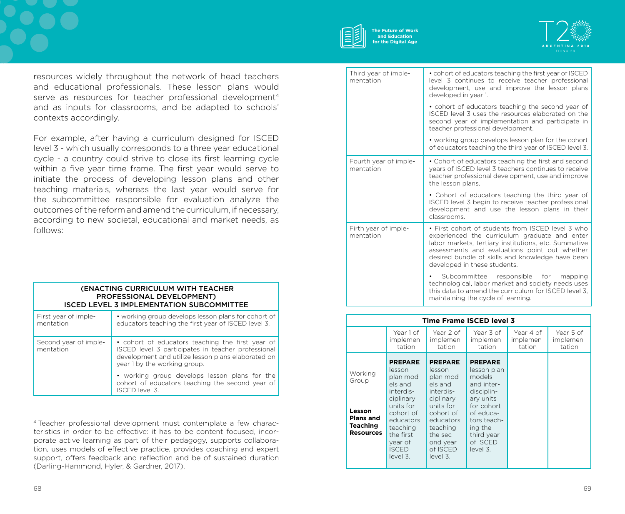



resources widely throughout the network of head teachers and educational professionals. These lesson plans would serve as resources for teacher professional development<sup>4</sup> and as inputs for classrooms, and be adapted to schools' contexts accordingly.

For example, after having a curriculum designed for ISCED level 3 - which usually corresponds to a three year educational cycle - a country could strive to close its first learning cycle within a five year time frame. The first year would serve to initiate the process of developing lesson plans and other teaching materials, whereas the last year would serve for the subcommittee responsible for evaluation analyze the outcomes of the reform and amend the curriculum, if necessary, according to new societal, educational and market needs, as follows:

| <b>(ENACTING CURRICULUM WITH TEACHER)</b>        |
|--------------------------------------------------|
| <b>PROFESSIONAL DEVELOPMENT)</b>                 |
| <b>ISCED LEVEL 3 IMPLEMENTATION SUBCOMMITTEE</b> |

| First year of imple-<br>mentation  | • working group develops lesson plans for cohort of<br>educators teaching the first year of ISCED level 3.                                                                                   |
|------------------------------------|----------------------------------------------------------------------------------------------------------------------------------------------------------------------------------------------|
| Second year of imple-<br>mentation | • cohort of educators teaching the first year of<br>ISCED level 3 participates in teacher professional<br>development and utilize lesson plans elaborated on<br>year 1 by the working group. |
|                                    | • working group develops lesson plans for the<br>cohort of educators teaching the second year of<br>ISCED level 3.                                                                           |

<sup>4</sup> Teacher professional development must contemplate a few characteristics in order to be effective: it has to be content focused, incorporate active learning as part of their pedagogy, supports collaboration, uses models of effective practice, provides coaching and expert support, offers feedback and reflection and be of sustained duration (Darling-Hammond, Hyler, & Gardner, 2017).

| Third year of imple-<br>mentation  | • cohort of educators teaching the first year of ISCED<br>level 3 continues to receive teacher professional<br>development, use and improve the lesson plans<br>developed in year 1.                                                                                                            |  |
|------------------------------------|-------------------------------------------------------------------------------------------------------------------------------------------------------------------------------------------------------------------------------------------------------------------------------------------------|--|
|                                    | • cohort of educators teaching the second year of<br>ISCED level 3 uses the resources elaborated on the<br>second year of implementation and participate in<br>teacher professional development.                                                                                                |  |
|                                    | • working group develops lesson plan for the cohort<br>of educators teaching the third year of ISCED level 3.                                                                                                                                                                                   |  |
| Fourth year of imple-<br>mentation | • Cohort of educators teaching the first and second<br>years of ISCED level 3 teachers continues to receive<br>teacher professional development, use and improve<br>the lesson plans.                                                                                                           |  |
|                                    | · Cohort of educators teaching the third year of<br>ISCED level 3 begin to receive teacher professional<br>development and use the lesson plans in their<br>classrooms.                                                                                                                         |  |
| Firth year of imple-<br>mentation  | • First cohort of students from ISCED level 3 who<br>experienced the curriculum graduate and enter<br>labor markets, tertiary institutions, etc. Summative<br>assessments and evaluations point out whether<br>desired bundle of skills and knowledge have been<br>developed in these students. |  |
|                                    | Subcommittee responsible for<br>mapping<br>technological, labor market and society needs uses<br>this data to amend the curriculum for ISCED level 3.<br>maintaining the cycle of learning.                                                                                                     |  |

|                                                                                       | Time Frame ISCED level 3                                                                                                                                                          |                                                                                                                                                                               |                                                                                                                                                                             |                                  |                                  |  |  |
|---------------------------------------------------------------------------------------|-----------------------------------------------------------------------------------------------------------------------------------------------------------------------------------|-------------------------------------------------------------------------------------------------------------------------------------------------------------------------------|-----------------------------------------------------------------------------------------------------------------------------------------------------------------------------|----------------------------------|----------------------------------|--|--|
|                                                                                       | Year 1 of<br>implemen-<br>tation                                                                                                                                                  | Year 2 of<br>implemen-<br>tation                                                                                                                                              | Year 3 of<br>implemen-<br>tation                                                                                                                                            | Year 4 of<br>implemen-<br>tation | Year 5 of<br>implemen-<br>tation |  |  |
| Working<br>Group<br>Lesson<br><b>Plans and</b><br><b>Teaching</b><br><b>Resources</b> | <b>PREPARE</b><br>lesson<br>plan mod-<br>els and<br>interdis-<br>ciplinary<br>units for<br>cohort of<br>educators<br>teaching<br>the first<br>year of<br><b>ISCED</b><br>level 3. | <b>PREPARE</b><br>lesson<br>plan mod-<br>els and<br>interdis-<br>ciplinary<br>units for<br>cohort of<br>educators<br>teaching<br>the sec-<br>ond year<br>of ISCED<br>level 3. | <b>PREPARE</b><br>lesson plan<br>models<br>and inter-<br>disciplin-<br>ary units<br>for cohort<br>of educa-<br>tors teach-<br>ing the<br>third year<br>of ISCED<br>level 3. |                                  |                                  |  |  |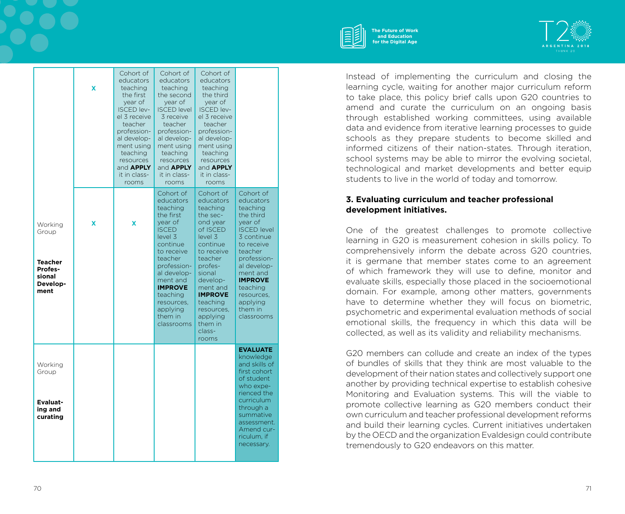|                                                                             | x | Cohort of<br>educators<br>teaching<br>the first<br>year of<br><b>ISCED lev-</b><br>el 3 receive<br>teacher<br>profession-<br>al develop-<br>ment using<br>teaching<br>resources<br>and <b>APPLY</b><br>it in class-<br>rooms | Cohort of<br>educators<br>teaching<br>the second<br>year of<br><b>ISCED</b> level<br>3 receive<br>teacher<br>profession-<br>al develop-<br>ment using<br>teaching<br>resources<br>and <b>APPLY</b><br>it in class-<br>rooms                           | Cohort of<br>educators<br>teaching<br>the third<br>year of<br><b>ISCED lev-</b><br>el 3 receive<br>teacher<br>profession-<br>al develop-<br>ment using<br>teaching<br>resources<br>and <b>APPLY</b><br>it in class-<br>rooms                              |                                                                                                                                                                                                                                                    |
|-----------------------------------------------------------------------------|---|------------------------------------------------------------------------------------------------------------------------------------------------------------------------------------------------------------------------------|-------------------------------------------------------------------------------------------------------------------------------------------------------------------------------------------------------------------------------------------------------|-----------------------------------------------------------------------------------------------------------------------------------------------------------------------------------------------------------------------------------------------------------|----------------------------------------------------------------------------------------------------------------------------------------------------------------------------------------------------------------------------------------------------|
| Working<br>Group<br><b>Teacher</b><br>Profes-<br>sional<br>Develop-<br>ment | x | x                                                                                                                                                                                                                            | Cohort of<br>educators<br>teaching<br>the first<br>year of<br><b>ISCED</b><br>level 3<br>continue<br>to receive<br>teacher<br>profession-<br>al develop-<br>ment and<br><b>IMPROVE</b><br>teaching<br>resources,<br>applying<br>them in<br>classrooms | Cohort of<br>educators<br>teaching<br>the sec-<br>ond year<br>of ISCED<br>level 3<br>continue<br>to receive<br>teacher<br>profes-<br>sional<br>develop-<br>ment and<br><b>IMPROVE</b><br>teaching<br>resources,<br>applying<br>them in<br>class-<br>rooms | Cohort of<br>educators<br>teaching<br>the third<br>year of<br><b>ISCED</b> level<br>3 continue<br>to receive<br>teacher<br>profession-<br>al develop-<br>ment and<br><b>IMPROVE</b><br>teaching<br>resources.<br>applying<br>them in<br>classrooms |
| Working<br>Group<br>Evaluat-<br>ing and<br>curating                         |   |                                                                                                                                                                                                                              |                                                                                                                                                                                                                                                       |                                                                                                                                                                                                                                                           | <b>EVALUATE</b><br>knowledge<br>and skills of<br>first cohort<br>of student<br>who expe-<br>rienced the<br>curriculum<br>through a<br>summative<br>assessment.<br>Amend cur-<br>riculum, if<br>necessary.                                          |



**The Future of Work for the Digital Age**

Instead of implementing the curriculum and closing the learning cycle, waiting for another major curriculum reform to take place, this policy brief calls upon G20 countries to amend and curate the curriculum on an ongoing basis through established working committees, using available data and evidence from iterative learning processes to guide schools as they prepare students to become skilled and informed citizens of their nation-states. Through iteration, school systems may be able to mirror the evolving societal, technological and market developments and better equip students to live in the world of today and tomorrow.

#### **3. Evaluating curriculum and teacher professional development initiatives.**

One of the greatest challenges to promote collective learning in G20 is measurement cohesion in skills policy. To comprehensively inform the debate across G20 countries, it is germane that member states come to an agreement of which framework they will use to define, monitor and evaluate skills, especially those placed in the socioemotional domain. For example, among other matters, governments have to determine whether they will focus on biometric, psychometric and experimental evaluation methods of social emotional skills, the frequency in which this data will be collected, as well as its validity and reliability mechanisms.

G20 members can collude and create an index of the types of bundles of skills that they think are most valuable to the development of their nation states and collectively support one another by providing technical expertise to establish cohesive Monitoring and Evaluation systems. This will the viable to promote collective learning as G20 members conduct their own curriculum and teacher professional development reforms and build their learning cycles. Current initiatives undertaken by the OECD and the organization Evaldesign could contribute tremendously to G20 endeavors on this matter.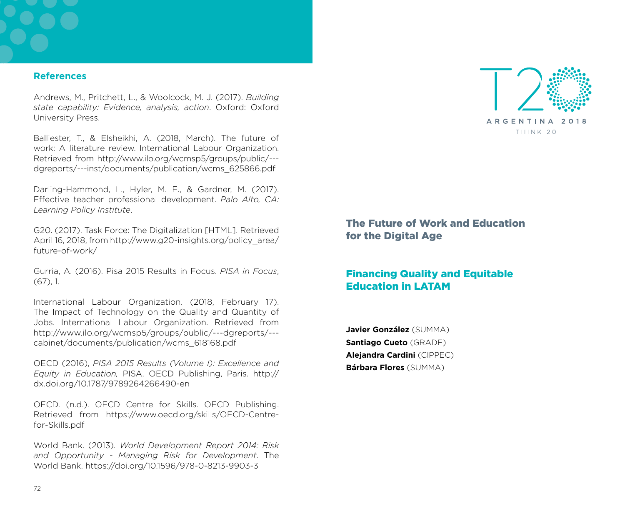### **References**

Andrews, M., Pritchett, L., & Woolcock, M. J. (2017). *Building state capability: Evidence, analysis, action*. Oxford: Oxford University Press.

Balliester, T., & Elsheikhi, A. (2018, March). The future of work: A literature review. International Labour Organization. Retrieved from http://www.ilo.org/wcmsp5/groups/public/-- dgreports/---inst/documents/publication/wcms\_625866.pdf

Darling-Hammond, L., Hyler, M. E., & Gardner, M. (2017). Effective teacher professional development. *Palo Alto, CA: Learning Policy Institute*.

G20. (2017). Task Force: The Digitalization [HTML]. Retrieved April 16, 2018, from http://www.g20-insights.org/policy\_area/ future-of-work/

Gurria, A. (2016). Pisa 2015 Results in Focus. *PISA in Focus*,  $(67)$ , 1.

International Labour Organization. (2018, February 17). The Impact of Technology on the Quality and Quantity of Jobs. International Labour Organization. Retrieved from http://www.ilo.org/wcmsp5/groups/public/---dgreports/-- cabinet/documents/publication/wcms\_618168.pdf

OECD (2016), *PISA 2015 Results (Volume I): Excellence and Equity in Education,* PISA, OECD Publishing, Paris. http:// dx.doi.org/10.1787/9789264266490-en

OECD. (n.d.). OECD Centre for Skills. OECD Publishing. Retrieved from https://www.oecd.org/skills/OECD-Centrefor-Skills.pdf

World Bank. (2013). *World Development Report 2014: Risk and Opportunity - Managing Risk for Development*. The World Bank. https://doi.org/10.1596/978-0-8213-9903-3

ARGENTINA 2018 THINK 20

# The Future of Work and Education for the Digital Age

# Financing Quality and Equitable Education in LATAM

**Javier González** (SUMMA) **Santiago Cueto** (GRADE) **Alejandra Cardini** (CIPPEC) **Bárbara Flores** (SUMMA)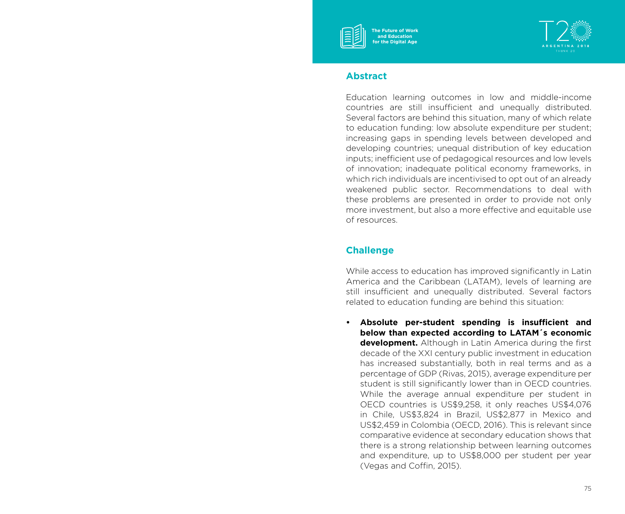



#### **Abstract**

Education learning outcomes in low and middle-income countries are still insufficient and unequally distributed. Several factors are behind this situation, many of which relate to education funding: low absolute expenditure per student; increasing gaps in spending levels between developed and developing countries; unequal distribution of key education inputs; inefficient use of pedagogical resources and low levels of innovation; inadequate political economy frameworks, in which rich individuals are incentivised to opt out of an already weakened public sector. Recommendations to deal with these problems are presented in order to provide not only more investment, but also a more effective and equitable use of resources.

# **Challenge**

While access to education has improved significantly in Latin America and the Caribbean (LATAM), levels of learning are still insufficient and unequally distributed. Several factors related to education funding are behind this situation:

**• Absolute per-student spending is insufficient and below than expected according to LATAM´s economic development.** Although in Latin America during the first decade of the XXI century public investment in education has increased substantially, both in real terms and as a percentage of GDP (Rivas, 2015), average expenditure per student is still significantly lower than in OECD countries. While the average annual expenditure per student in OECD countries is US\$9,258, it only reaches US\$4,076 in Chile, US\$3,824 in Brazil, US\$2,877 in Mexico and US\$2,459 in Colombia (OECD, 2016). This is relevant since comparative evidence at secondary education shows that there is a strong relationship between learning outcomes and expenditure, up to US\$8,000 per student per year (Vegas and Coffin, 2015).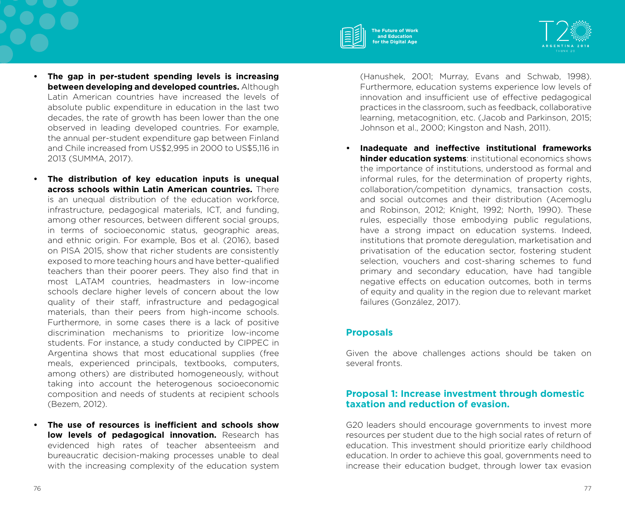

- **• The gap in per-student spending levels is increasing between developing and developed countries.** Although Latin American countries have increased the levels of absolute public expenditure in education in the last two decades, the rate of growth has been lower than the one observed in leading developed countries. For example, the annual per-student expenditure gap between Finland and Chile increased from US\$2,995 in 2000 to US\$5,116 in 2013 (SUMMA, 2017).
- **• The distribution of key education inputs is unequal across schools within Latin American countries.** There is an unequal distribution of the education workforce, infrastructure, pedagogical materials, ICT, and funding, among other resources, between different social groups, in terms of socioeconomic status, geographic areas, and ethnic origin. For example, Bos et al. (2016), based on PISA 2015, show that richer students are consistently exposed to more teaching hours and have better-qualified teachers than their poorer peers. They also find that in most LATAM countries, headmasters in low-income schools declare higher levels of concern about the low quality of their staff, infrastructure and pedagogical materials, than their peers from high-income schools. Furthermore, in some cases there is a lack of positive discrimination mechanisms to prioritize low-income students. For instance, a study conducted by CIPPEC in Argentina shows that most educational supplies (free meals, experienced principals, textbooks, computers, among others) are distributed homogeneously, without taking into account the heterogenous socioeconomic composition and needs of students at recipient schools (Bezem, 2012).
- **• The use of resources is inefficient and schools show low levels of pedagogical innovation.** Research has evidenced high rates of teacher absenteeism and bureaucratic decision-making processes unable to deal with the increasing complexity of the education system

(Hanushek, 2001; Murray, Evans and Schwab, 1998). Furthermore, education systems experience low levels of innovation and insufficient use of effective pedagogical practices in the classroom, such as feedback, collaborative learning, metacognition, etc. (Jacob and Parkinson, 2015; Johnson et al., 2000; Kingston and Nash, 2011).

**• Inadequate and ineffective institutional frameworks hinder education systems**: institutional economics shows the importance of institutions, understood as formal and informal rules, for the determination of property rights, collaboration/competition dynamics, transaction costs, and social outcomes and their distribution (Acemoglu and Robinson, 2012; Knight, 1992; North, 1990). These rules, especially those embodying public regulations, have a strong impact on education systems. Indeed, institutions that promote deregulation, marketisation and privatisation of the education sector, fostering student selection, vouchers and cost-sharing schemes to fund primary and secondary education, have had tangible negative effects on education outcomes, both in terms of equity and quality in the region due to relevant market failures (González, 2017).

# **Proposals**

Given the above challenges actions should be taken on several fronts.

# **Proposal 1: Increase investment through domestic taxation and reduction of evasion.**

G20 leaders should encourage governments to invest more resources per student due to the high social rates of return of education. This investment should prioritize early childhood education. In order to achieve this goal, governments need to increase their education budget, through lower tax evasion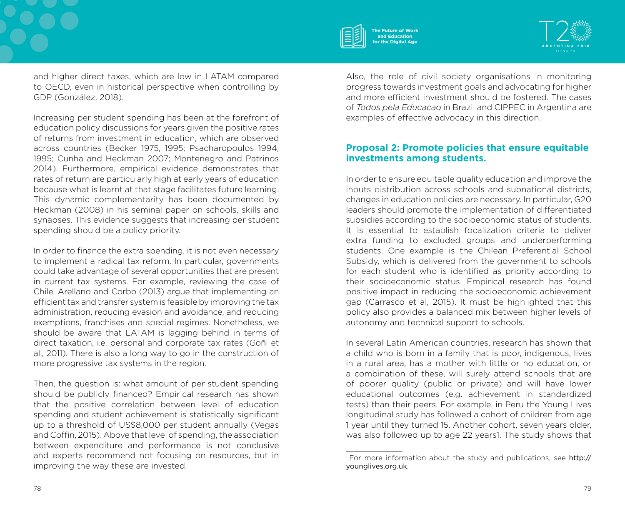

and higher direct taxes, which are low in LATAM compared to OECD, even in historical perspective when controlling by GDP (González, 2018).

Increasing per student spending has been at the forefront of education policy discussions for years given the positive rates of returns from investment in education, which are observed across countries (Becker 1975, 1995; Psacharopoulos 1994, 1995; Cunha and Heckman 2007; Montenegro and Patrinos 2014). Furthermore, empirical evidence demonstrates that rates of return are particularly high at early years of education because what is learnt at that stage facilitates future learning. This dynamic complementarity has been documented by Heckman (2008) in his seminal paper on schools, skills and synapses. This evidence suggests that increasing per student spending should be a policy priority.

In order to finance the extra spending, it is not even necessary to implement a radical tax reform. In particular, governments could take advantage of several opportunities that are present in current tax systems. For example, reviewing the case of Chile, Arellano and Corbo (2013) argue that implementing an efficient tax and transfer system is feasible by improving the tax administration, reducing evasion and avoidance, and reducing exemptions, franchises and special regimes. Nonetheless, we should be aware that LATAM is lagging behind in terms of direct taxation, i.e. personal and corporate tax rates (Goñi et al., 2011). There is also a long way to go in the construction of more progressive tax systems in the region.

Then, the question is: what amount of per student spending should be publicly financed? Empirical research has shown that the positive correlation between level of education spending and student achievement is statistically significant up to a threshold of US\$8,000 per student annually (Vegas and Coffin, 2015). Above that level of spending, the association between expenditure and performance is not conclusive and experts recommend not focusing on resources, but in improving the way these are invested.

Also, the role of civil society organisations in monitoring progress towards investment goals and advocating for higher and more efficient investment should be fostered. The cases of *Todos pela Educacao* in Brazil and CIPPEC in Argentina are examples of effective advocacy in this direction.

# **Proposal 2: Promote policies that ensure equitable investments among students.**

In order to ensure equitable quality education and improve the inputs distribution across schools and subnational districts, changes in education policies are necessary. In particular, G20 leaders should promote the implementation of differentiated subsidies according to the socioeconomic status of students. It is essential to establish focalization criteria to deliver extra funding to excluded groups and underperforming students. One example is the Chilean Preferential School Subsidy, which is delivered from the government to schools for each student who is identified as priority according to their socioeconomic status. Empirical research has found positive impact in reducing the socioeconomic achievement gap (Carrasco et al, 2015). It must be highlighted that this policy also provides a balanced mix between higher levels of autonomy and technical support to schools.

In several Latin American countries, research has shown that a child who is born in a family that is poor, indigenous, lives in a rural area, has a mother with little or no education, or a combination of these, will surely attend schools that are of poorer quality (public or private) and will have lower educational outcomes (e.g. achievement in standardized tests) than their peers. For example, in Peru the Young Lives longitudinal study has followed a cohort of children from age 1 year until they turned 15. Another cohort, seven years older, was also followed up to age 22 years1. The study shows that

<sup>&</sup>lt;sup>1</sup> For more information about the study and publications, see http:// younglives.org.uk.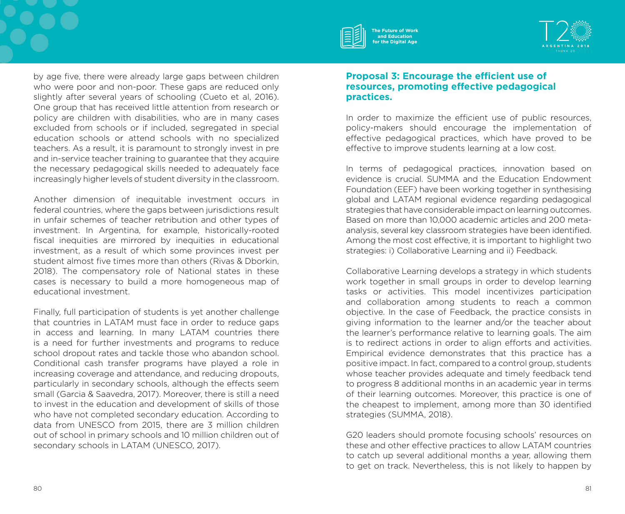



by age five, there were already large gaps between children who were poor and non-poor. These gaps are reduced only slightly after several years of schooling (Cueto et al, 2016). One group that has received little attention from research or policy are children with disabilities, who are in many cases excluded from schools or if included, segregated in special education schools or attend schools with no specialized teachers. As a result, it is paramount to strongly invest in pre and in-service teacher training to guarantee that they acquire the necessary pedagogical skills needed to adequately face increasingly higher levels of student diversity in the classroom.

Another dimension of inequitable investment occurs in federal countries, where the gaps between jurisdictions result in unfair schemes of teacher retribution and other types of investment. In Argentina, for example, historically-rooted fiscal inequities are mirrored by inequities in educational investment, as a result of which some provinces invest per student almost five times more than others (Rivas & Dborkin, 2018). The compensatory role of National states in these cases is necessary to build a more homogeneous map of educational investment.

Finally, full participation of students is yet another challenge that countries in LATAM must face in order to reduce gaps in access and learning. In many LATAM countries there is a need for further investments and programs to reduce school dropout rates and tackle those who abandon school. Conditional cash transfer programs have played a role in increasing coverage and attendance, and reducing dropouts, particularly in secondary schools, although the effects seem small (Garcia & Saavedra, 2017). Moreover, there is still a need to invest in the education and development of skills of those who have not completed secondary education. According to data from UNESCO from 2015, there are 3 million children out of school in primary schools and 10 million children out of secondary schools in LATAM (UNESCO, 2017).

#### **Proposal 3: Encourage the efficient use of resources, promoting effective pedagogical practices.**

In order to maximize the efficient use of public resources, policy-makers should encourage the implementation of effective pedagogical practices, which have proved to be effective to improve students learning at a low cost.

In terms of pedagogical practices, innovation based on evidence is crucial. SUMMA and the Education Endowment Foundation (EEF) have been working together in synthesising global and LATAM regional evidence regarding pedagogical strategies that have considerable impact on learning outcomes. Based on more than 10,000 academic articles and 200 metaanalysis, several key classroom strategies have been identified. Among the most cost effective, it is important to highlight two strategies: i) Collaborative Learning and ii) Feedback.

Collaborative Learning develops a strategy in which students work together in small groups in order to develop learning tasks or activities. This model incentivizes participation and collaboration among students to reach a common objective. In the case of Feedback, the practice consists in giving information to the learner and/or the teacher about the learner's performance relative to learning goals. The aim is to redirect actions in order to align efforts and activities. Empirical evidence demonstrates that this practice has a positive impact. In fact, compared to a control group, students whose teacher provides adequate and timely feedback tend to progress 8 additional months in an academic year in terms of their learning outcomes. Moreover, this practice is one of the cheapest to implement, among more than 30 identified strategies (SUMMA, 2018).

G20 leaders should promote focusing schools' resources on these and other effective practices to allow LATAM countries to catch up several additional months a year, allowing them to get on track. Nevertheless, this is not likely to happen by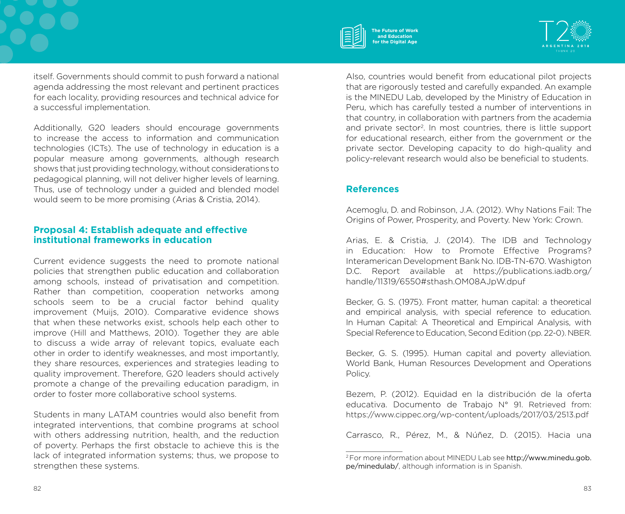

itself. Governments should commit to push forward a national agenda addressing the most relevant and pertinent practices for each locality, providing resources and technical advice for a successful implementation.

Additionally, G20 leaders should encourage governments to increase the access to information and communication technologies (ICTs). The use of technology in education is a popular measure among governments, although research shows that just providing technology, without considerations to pedagogical planning, will not deliver higher levels of learning. Thus, use of technology under a guided and blended model would seem to be more promising (Arias & Cristia, 2014).

### **Proposal 4: Establish adequate and effective institutional frameworks in education**

Current evidence suggests the need to promote national policies that strengthen public education and collaboration among schools, instead of privatisation and competition. Rather than competition, cooperation networks among schools seem to be a crucial factor behind quality improvement (Muijs, 2010). Comparative evidence shows that when these networks exist, schools help each other to improve (Hill and Matthews, 2010). Together they are able to discuss a wide array of relevant topics, evaluate each other in order to identify weaknesses, and most importantly, they share resources, experiences and strategies leading to quality improvement. Therefore, G20 leaders should actively promote a change of the prevailing education paradigm, in order to foster more collaborative school systems.

Students in many LATAM countries would also benefit from integrated interventions, that combine programs at school with others addressing nutrition, health, and the reduction of poverty. Perhaps the first obstacle to achieve this is the lack of integrated information systems; thus, we propose to strengthen these systems.

Also, countries would benefit from educational pilot projects that are rigorously tested and carefully expanded. An example is the MINEDU Lab, developed by the Ministry of Education in Peru, which has carefully tested a number of interventions in that country, in collaboration with partners from the academia and private sector<sup>2</sup>. In most countries, there is little support for educational research, either from the government or the private sector. Developing capacity to do high-quality and policy-relevant research would also be beneficial to students.

# **References**

Acemoglu, D. and Robinson, J.A. (2012). Why Nations Fail: The Origins of Power, Prosperity, and Poverty. New York: Crown.

Arias, E. & Cristia, J. (2014). The IDB and Technology in Education: How to Promote Effective Programs? Interamerican Development Bank No. IDB-TN-670. Washigton D.C. Report available at https://publications.iadb.org/ handle/11319/6550#sthash.OM08AJpW.dpuf

Becker, G. S. (1975). Front matter, human capital: a theoretical and empirical analysis, with special reference to education. In Human Capital: A Theoretical and Empirical Analysis, with Special Reference to Education, Second Edition (pp. 22-0). NBER.

Becker, G. S. (1995). Human capital and poverty alleviation. World Bank, Human Resources Development and Operations Policy.

Bezem, P. (2012). Equidad en la distribución de la oferta educativa. Documento de Trabajo N° 91. Retrieved from: https://www.cippec.org/wp-content/uploads/2017/03/2513.pdf

Carrasco, R., Pérez, M., & Núñez, D. (2015). Hacia una

<sup>2</sup> For more information about MINEDU Lab see http://www.minedu.gob. pe/minedulab/, although information is in Spanish.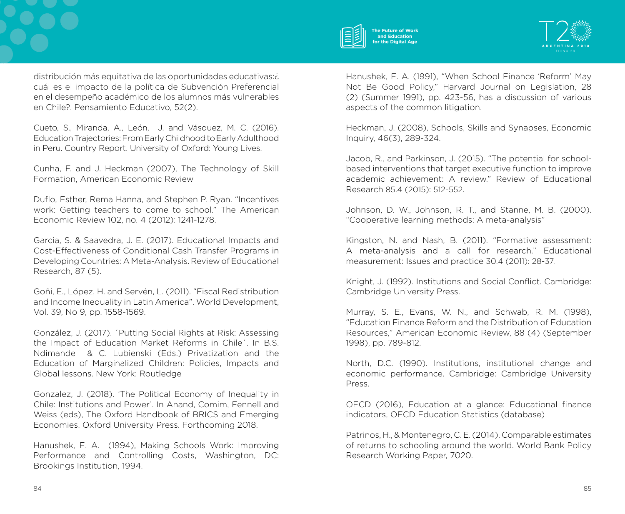

distribución más equitativa de las oportunidades educativas:¿ cuál es el impacto de la política de Subvención Preferencial en el desempeño académico de los alumnos más vulnerables en Chile?. Pensamiento Educativo, 52(2).

Cueto, S., Miranda, A., León, J. and Vásquez, M. C. (2016). Education Trajectories: From Early Childhood to Early Adulthood in Peru. Country Report. University of Oxford: Young Lives.

Cunha, F. and J. Heckman (2007), The Technology of Skill Formation, American Economic Review

Duflo, Esther, Rema Hanna, and Stephen P. Ryan. "Incentives work: Getting teachers to come to school." The American Economic Review 102, no. 4 (2012): 1241-1278.

Garcia, S. & Saavedra, J. E. (2017). Educational Impacts and Cost-Effectiveness of Conditional Cash Transfer Programs in Developing Countries: A Meta-Analysis. Review of Educational Research, 87 (5).

Goñi, E., López, H. and Servén, L. (2011). "Fiscal Redistribution and Income Inequality in Latin America". World Development, Vol. 39, No 9, pp. 1558-1569.

González, J. (2017). ´Putting Social Rights at Risk: Assessing the Impact of Education Market Reforms in Chile´. In B.S. Ndimande & C. Lubienski (Eds.) Privatization and the Education of Marginalized Children: Policies, Impacts and Global lessons. New York: Routledge

Gonzalez, J. (2018). 'The Political Economy of Inequality in Chile: Institutions and Power'. In Anand, Comim, Fennell and Weiss (eds), The Oxford Handbook of BRICS and Emerging Economies. Oxford University Press. Forthcoming 2018.

Hanushek, E. A. (1994), Making Schools Work: Improving Performance and Controlling Costs, Washington, DC: Brookings Institution, 1994.

Hanushek, E. A. (1991), "When School Finance 'Reform' May Not Be Good Policy," Harvard Journal on Legislation, 28 (2) (Summer 1991), pp. 423-56, has a discussion of various aspects of the common litigation.

Heckman, J. (2008), Schools, Skills and Synapses, Economic Inquiry, 46(3), 289-324.

Jacob, R., and Parkinson, J. (2015). "The potential for schoolbased interventions that target executive function to improve academic achievement: A review." Review of Educational Research 85.4 (2015): 512-552.

Johnson, D. W., Johnson, R. T., and Stanne, M. B. (2000). "Cooperative learning methods: A meta-analysis"

Kingston, N. and Nash, B. (2011). "Formative assessment: A meta-analysis and a call for research." Educational measurement: Issues and practice 30.4 (2011): 28-37.

Knight, J. (1992). Institutions and Social Conflict. Cambridge: Cambridge University Press.

Murray, S. E., Evans, W. N., and Schwab, R. M. (1998), "Education Finance Reform and the Distribution of Education Resources," American Economic Review, 88 (4) (September 1998), pp. 789-812.

North, D.C. (1990). Institutions, institutional change and economic performance. Cambridge: Cambridge University Press.

OECD (2016), Education at a glance: Educational finance indicators, OECD Education Statistics (database)

Patrinos, H., & Montenegro, C. E. (2014). Comparable estimates of returns to schooling around the world. World Bank Policy Research Working Paper, 7020.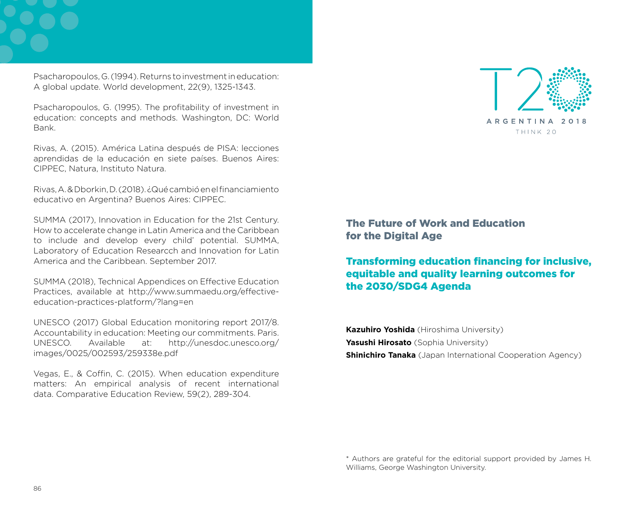Psacharopoulos, G. (1994). Returns to investment in education: A global update. World development, 22(9), 1325-1343.

Psacharopoulos, G. (1995). The profitability of investment in education: concepts and methods. Washington, DC: World Bank.

Rivas, A. (2015). América Latina después de PISA: lecciones aprendidas de la educación en siete países. Buenos Aires: CIPPEC, Natura, Instituto Natura.

Rivas, A. & Dborkin, D. (2018). ¿Qué cambió en el financiamiento educativo en Argentina? Buenos Aires: CIPPEC.

SUMMA (2017), Innovation in Education for the 21st Century. How to accelerate change in Latin America and the Caribbean to include and develop every child' potential. SUMMA, Laboratory of Education Researcch and Innovation for Latin America and the Caribbean. September 2017.

SUMMA (2018), Technical Appendices on Effective Education Practices, available at http://www.summaedu.org/effectiveeducation-practices-platform/?lang=en

UNESCO (2017) Global Education monitoring report 2017/8. Accountability in education: Meeting our commitments. Paris. UNESCO. Available at: http://unesdoc.unesco.org/ images/0025/002593/259338e.pdf

Vegas, E., & Coffin, C. (2015). When education expenditure matters: An empirical analysis of recent international data. Comparative Education Review, 59(2), 289-304.



The Future of Work and Education for the Digital Age

# Transforming education financing for inclusive, equitable and quality learning outcomes for the 2030/SDG4 Agenda

**Kazuhiro Yoshida** (Hiroshima University) **Yasushi Hirosato** (Sophia University) **Shinichiro Tanaka** (Japan International Cooperation Agency)

\* Authors are grateful for the editorial support provided by James H. Williams, George Washington University.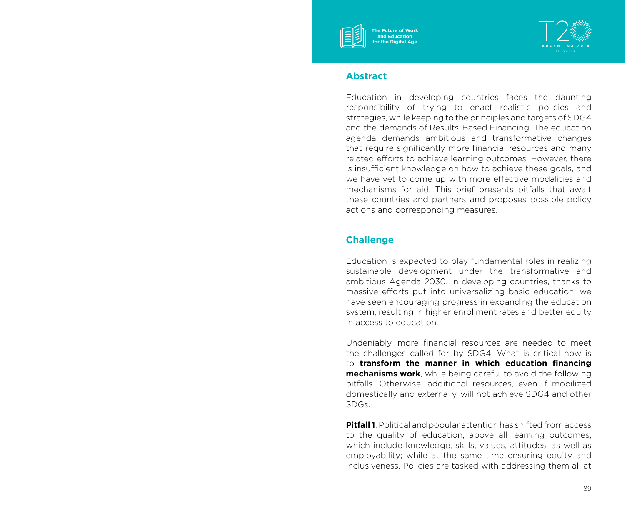



#### **Abstract**

Education in developing countries faces the daunting responsibility of trying to enact realistic policies and strategies, while keeping to the principles and targets of SDG4 and the demands of Results-Based Financing. The education agenda demands ambitious and transformative changes that require significantly more financial resources and many related efforts to achieve learning outcomes. However, there is insufficient knowledge on how to achieve these goals, and we have yet to come up with more effective modalities and mechanisms for aid. This brief presents pitfalls that await these countries and partners and proposes possible policy actions and corresponding measures.

# **Challenge**

Education is expected to play fundamental roles in realizing sustainable development under the transformative and ambitious Agenda 2030. In developing countries, thanks to massive efforts put into universalizing basic education, we have seen encouraging progress in expanding the education system, resulting in higher enrollment rates and better equity in access to education.

Undeniably, more financial resources are needed to meet the challenges called for by SDG4. What is critical now is to **transform the manner in which education financing mechanisms work**, while being careful to avoid the following pitfalls. Otherwise, additional resources, even if mobilized domestically and externally, will not achieve SDG4 and other SDGs.

**Pitfall 1**. Political and popular attention has shifted from access to the quality of education, above all learning outcomes, which include knowledge, skills, values, attitudes, as well as employability; while at the same time ensuring equity and inclusiveness. Policies are tasked with addressing them all at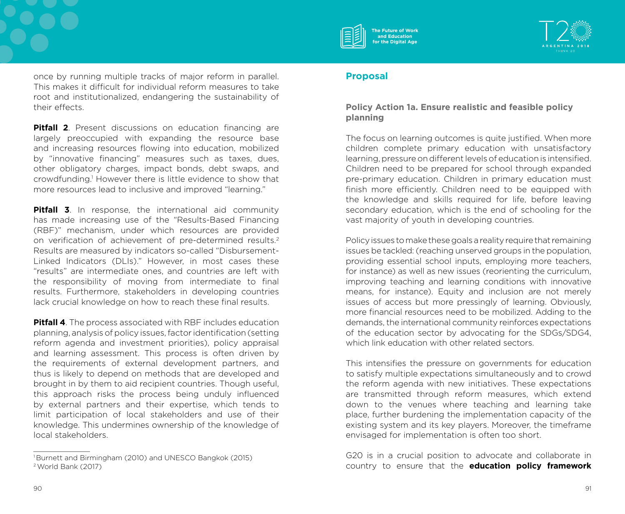

once by running multiple tracks of major reform in parallel. This makes it difficult for individual reform measures to take root and institutionalized, endangering the sustainability of their effects.

**Pitfall 2.** Present discussions on education financing are largely preoccupied with expanding the resource base and increasing resources flowing into education, mobilized by "innovative financing" measures such as taxes, dues, other obligatory charges, impact bonds, debt swaps, and crowdfunding.1 However there is little evidence to show that more resources lead to inclusive and improved "learning."

**Pitfall 3.** In response, the international aid community has made increasing use of the "Results-Based Financing (RBF)" mechanism, under which resources are provided on verification of achievement of pre-determined results.2 Results are measured by indicators so-called "Disbursement-Linked Indicators (DLIs)." However, in most cases these "results" are intermediate ones, and countries are left with the responsibility of moving from intermediate to final results. Furthermore, stakeholders in developing countries lack crucial knowledge on how to reach these final results.

**Pitfall 4**. The process associated with RBF includes education planning, analysis of policy issues, factor identification (setting reform agenda and investment priorities), policy appraisal and learning assessment. This process is often driven by the requirements of external development partners, and thus is likely to depend on methods that are developed and brought in by them to aid recipient countries. Though useful, this approach risks the process being unduly influenced by external partners and their expertise, which tends to limit participation of local stakeholders and use of their knowledge. This undermines ownership of the knowledge of local stakeholders.

### **Proposal**

**Policy Action 1a. Ensure realistic and feasible policy planning** 

The focus on learning outcomes is quite justified. When more children complete primary education with unsatisfactory learning, pressure on different levels of education is intensified. Children need to be prepared for school through expanded pre-primary education. Children in primary education must finish more efficiently. Children need to be equipped with the knowledge and skills required for life, before leaving secondary education, which is the end of schooling for the vast majority of youth in developing countries.

Policy issues to make these goals a reality require that remaining issues be tackled: (reaching unserved groups in the population, providing essential school inputs, employing more teachers, for instance) as well as new issues (reorienting the curriculum, improving teaching and learning conditions with innovative means, for instance). Equity and inclusion are not merely issues of access but more pressingly of learning. Obviously, more financial resources need to be mobilized. Adding to the demands, the international community reinforces expectations of the education sector by advocating for the SDGs/SDG4, which link education with other related sectors.

This intensifies the pressure on governments for education to satisfy multiple expectations simultaneously and to crowd the reform agenda with new initiatives. These expectations are transmitted through reform measures, which extend down to the venues where teaching and learning take place, further burdening the implementation capacity of the existing system and its key players. Moreover, the timeframe envisaged for implementation is often too short.

G20 is in a crucial position to advocate and collaborate in country to ensure that the **education policy framework** 

<sup>1</sup> Burnett and Birmingham (2010) and UNESCO Bangkok (2015) 2 World Bank (2017)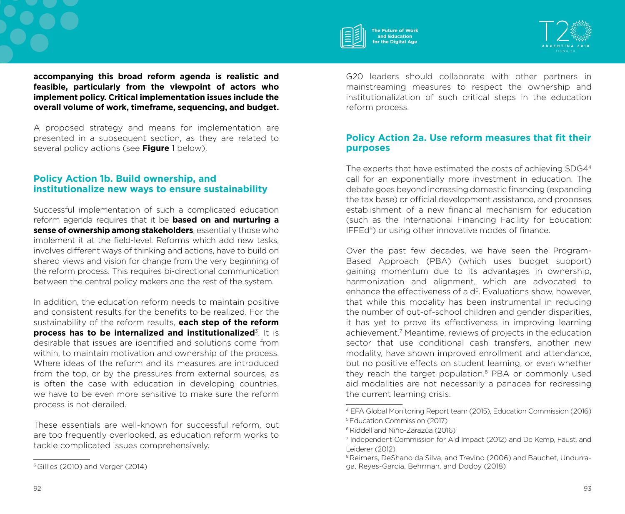

**accompanying this broad reform agenda is realistic and feasible, particularly from the viewpoint of actors who implement policy. Critical implementation issues include the overall volume of work, timeframe, sequencing, and budget.**

A proposed strategy and means for implementation are presented in a subsequent section, as they are related to several policy actions (see **Figure** 1 below).

### **Policy Action 1b. Build ownership, and institutionalize new ways to ensure sustainability**

Successful implementation of such a complicated education reform agenda requires that it be **based on and nurturing a sense of ownership among stakeholders**, essentially those who implement it at the field-level. Reforms which add new tasks, involves different ways of thinking and actions, have to build on shared views and vision for change from the very beginning of the reform process. This requires bi-directional communication between the central policy makers and the rest of the system.

In addition, the education reform needs to maintain positive and consistent results for the benefits to be realized. For the sustainability of the reform results, **each step of the reform process has to be internalized and institutionalized**3. It is desirable that issues are identified and solutions come from within, to maintain motivation and ownership of the process. Where ideas of the reform and its measures are introduced from the top, or by the pressures from external sources, as is often the case with education in developing countries, we have to be even more sensitive to make sure the reform process is not derailed.

These essentials are well-known for successful reform, but are too frequently overlooked, as education reform works to tackle complicated issues comprehensively.

G20 leaders should collaborate with other partners in mainstreaming measures to respect the ownership and institutionalization of such critical steps in the education reform process.

### **Policy Action 2a. Use reform measures that fit their purposes**

The experts that have estimated the costs of achieving SDG44 call for an exponentially more investment in education. The debate goes beyond increasing domestic financing (expanding the tax base) or official development assistance, and proposes establishment of a new financial mechanism for education (such as the International Financing Facility for Education: IFFEd<sup>5</sup>) or using other innovative modes of finance.

Over the past few decades, we have seen the Program-Based Approach (PBA) (which uses budget support) gaining momentum due to its advantages in ownership, harmonization and alignment, which are advocated to enhance the effectiveness of aid<sup>6</sup>. Evaluations show, however, that while this modality has been instrumental in reducing the number of out-of-school children and gender disparities, it has yet to prove its effectiveness in improving learning achievement.7 Meantime, reviews of projects in the education sector that use conditional cash transfers, another new modality, have shown improved enrollment and attendance, but no positive effects on student learning, or even whether they reach the target population.8 PBA or commonly used aid modalities are not necessarily a panacea for redressing the current learning crisis.

<sup>3</sup> Gillies (2010) and Verger (2014)

<sup>4</sup> EFA Global Monitoring Report team (2015), Education Commission (2016) 5 Education Commission (2017)

<sup>6</sup> Riddell and Niño-Zarazúa (2016)

<sup>7</sup> Independent Commission for Aid Impact (2012) and De Kemp, Faust, and Leiderer (2012)

<sup>&</sup>lt;sup>8</sup> Reimers, DeShano da Silva, and Trevino (2006) and Bauchet, Undurraga, Reyes-Garcia, Behrman, and Dodoy (2018)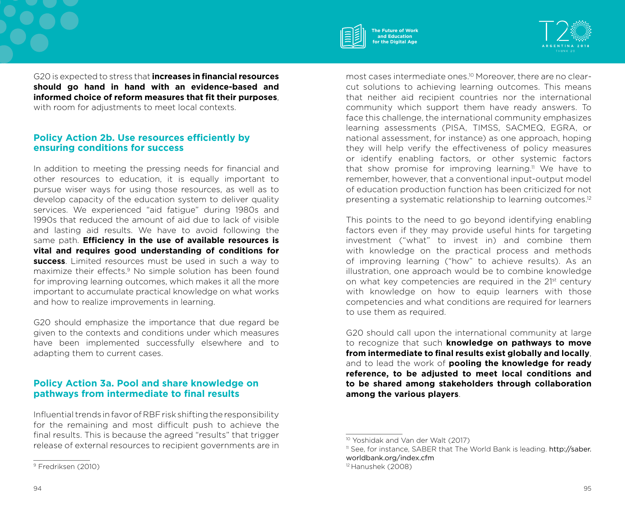



G20 is expected to stress that **increases in financial resources should go hand in hand with an evidence-based and informed choice of reform measures that fit their purposes**, with room for adjustments to meet local contexts.

### **Policy Action 2b. Use resources efficiently by ensuring conditions for success**

In addition to meeting the pressing needs for financial and other resources to education, it is equally important to pursue wiser ways for using those resources, as well as to develop capacity of the education system to deliver quality services. We experienced "aid fatigue" during 1980s and 1990s that reduced the amount of aid due to lack of visible and lasting aid results. We have to avoid following the same path. **Efficiency in the use of available resources is vital and requires good understanding of conditions for success**. Limited resources must be used in such a way to maximize their effects.9 No simple solution has been found for improving learning outcomes, which makes it all the more important to accumulate practical knowledge on what works and how to realize improvements in learning.

G20 should emphasize the importance that due regard be given to the contexts and conditions under which measures have been implemented successfully elsewhere and to adapting them to current cases.

### **Policy Action 3a. Pool and share knowledge on pathways from intermediate to final results**

Influential trends in favor of RBF risk shifting the responsibility for the remaining and most difficult push to achieve the final results. This is because the agreed "results" that trigger release of external resources to recipient governments are in most cases intermediate ones.10 Moreover, there are no clearcut solutions to achieving learning outcomes. This means that neither aid recipient countries nor the international community which support them have ready answers. To face this challenge, the international community emphasizes learning assessments (PISA, TIMSS, SACMEQ, EGRA, or national assessment, for instance) as one approach, hoping they will help verify the effectiveness of policy measures or identify enabling factors, or other systemic factors that show promise for improving learning.<sup>11</sup> We have to remember, however, that a conventional input-output model of education production function has been criticized for not presenting a systematic relationship to learning outcomes.12

This points to the need to go beyond identifying enabling factors even if they may provide useful hints for targeting investment ("what" to invest in) and combine them with knowledge on the practical process and methods of improving learning ("how" to achieve results). As an illustration, one approach would be to combine knowledge on what key competencies are required in the 21<sup>st</sup> century with knowledge on how to equip learners with those competencies and what conditions are required for learners to use them as required.

G20 should call upon the international community at large to recognize that such **knowledge on pathways to move from intermediate to final results exist globally and locally**, and to lead the work of **pooling the knowledge for ready reference, to be adjusted to meet local conditions and to be shared among stakeholders through collaboration among the various players**.

<sup>9</sup> Fredriksen (2010)

<sup>10</sup> Yoshidak and Van der Walt (2017)

<sup>&</sup>lt;sup>11</sup> See, for instance, SABER that The World Bank is leading. http://saber. worldbank.org/index.cfm

<sup>12</sup> Hanushek (2008)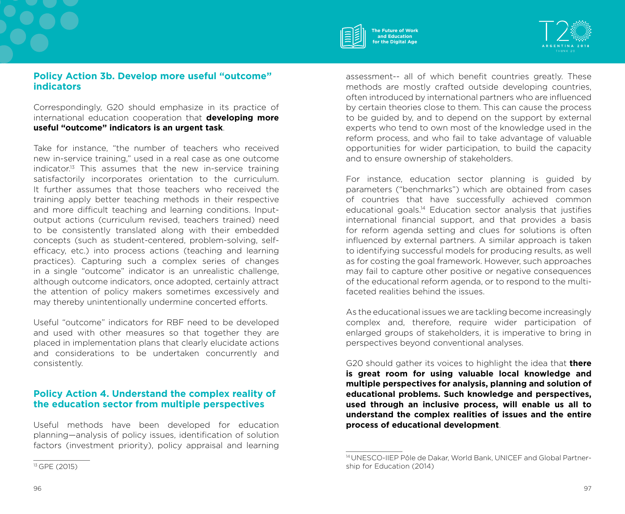

# **Policy Action 3b. Develop more useful "outcome" indicators**

Correspondingly, G20 should emphasize in its practice of international education cooperation that **developing more useful "outcome" indicators is an urgent task**.

Take for instance, "the number of teachers who received new in-service training," used in a real case as one outcome indicator.13 This assumes that the new in-service training satisfactorily incorporates orientation to the curriculum. It further assumes that those teachers who received the training apply better teaching methods in their respective and more difficult teaching and learning conditions. Inputoutput actions (curriculum revised, teachers trained) need to be consistently translated along with their embedded concepts (such as student-centered, problem-solving, selfefficacy, etc.) into process actions (teaching and learning practices). Capturing such a complex series of changes in a single "outcome" indicator is an unrealistic challenge, although outcome indicators, once adopted, certainly attract the attention of policy makers sometimes excessively and may thereby unintentionally undermine concerted efforts.

Useful "outcome" indicators for RBF need to be developed and used with other measures so that together they are placed in implementation plans that clearly elucidate actions and considerations to be undertaken concurrently and consistently.

#### **Policy Action 4. Understand the complex reality of the education sector from multiple perspectives**

Useful methods have been developed for education planning—analysis of policy issues, identification of solution factors (investment priority), policy appraisal and learning

For instance, education sector planning is guided by parameters ("benchmarks") which are obtained from cases of countries that have successfully achieved common educational goals.<sup>14</sup> Education sector analysis that justifies international financial support, and that provides a basis for reform agenda setting and clues for solutions is often influenced by external partners. A similar approach is taken to identifying successful models for producing results, as well as for costing the goal framework. However, such approaches may fail to capture other positive or negative consequences of the educational reform agenda, or to respond to the multifaceted realities behind the issues.

As the educational issues we are tackling become increasingly complex and, therefore, require wider participation of enlarged groups of stakeholders, it is imperative to bring in perspectives beyond conventional analyses.

G20 should gather its voices to highlight the idea that **there is great room for using valuable local knowledge and multiple perspectives for analysis, planning and solution of educational problems. Such knowledge and perspectives, used through an inclusive process, will enable us all to understand the complex realities of issues and the entire process of educational development**.

13 GPE (2015)

assessment-- all of which benefit countries greatly. These methods are mostly crafted outside developing countries, often introduced by international partners who are influenced by certain theories close to them. This can cause the process to be guided by, and to depend on the support by external experts who tend to own most of the knowledge used in the reform process, and who fail to take advantage of valuable opportunities for wider participation, to build the capacity and to ensure ownership of stakeholders.

<sup>14</sup> UNESCO-IIEP Pôle de Dakar, World Bank, UNICEF and Global Partnership for Education (2014)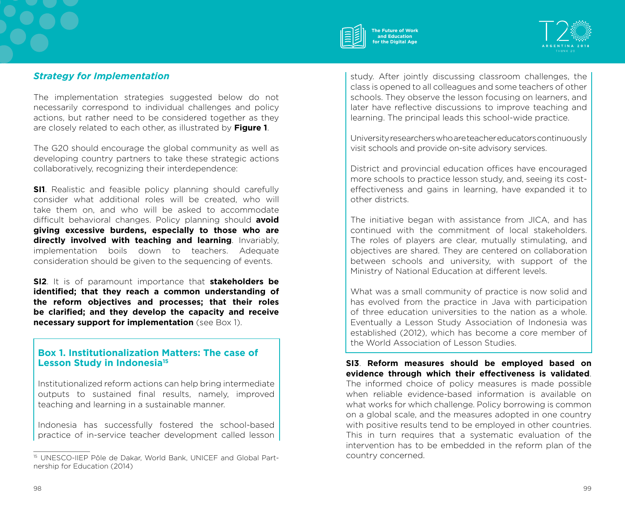

# *Strategy for Implementation*

The implementation strategies suggested below do not necessarily correspond to individual challenges and policy actions, but rather need to be considered together as they are closely related to each other, as illustrated by **Figure 1**.

The G20 should encourage the global community as well as developing country partners to take these strategic actions collaboratively, recognizing their interdependence:

**SI1.** Realistic and feasible policy planning should carefully consider what additional roles will be created, who will take them on, and who will be asked to accommodate difficult behavioral changes. Policy planning should **avoid giving excessive burdens, especially to those who are directly involved with teaching and learning**. Invariably, implementation boils down to teachers. Adequate consideration should be given to the sequencing of events.

**SI2**. It is of paramount importance that **stakeholders be identified; that they reach a common understanding of the reform objectives and processes; that their roles be clarified; and they develop the capacity and receive necessary support for implementation** (see Box 1).

#### **Box 1. Institutionalization Matters: The case of Lesson Study in Indonesia15**

Institutionalized reform actions can help bring intermediate outputs to sustained final results, namely, improved teaching and learning in a sustainable manner.

Indonesia has successfully fostered the school-based practice of in-service teacher development called lesson study. After jointly discussing classroom challenges, the class is opened to all colleagues and some teachers of other schools. They observe the lesson focusing on learners, and later have reflective discussions to improve teaching and learning. The principal leads this school-wide practice.

University researchers who are teacher educators continuously visit schools and provide on-site advisory services.

District and provincial education offices have encouraged more schools to practice lesson study, and, seeing its costeffectiveness and gains in learning, have expanded it to other districts.

The initiative began with assistance from JICA, and has continued with the commitment of local stakeholders. The roles of players are clear, mutually stimulating, and objectives are shared. They are centered on collaboration between schools and university, with support of the Ministry of National Education at different levels.

What was a small community of practice is now solid and has evolved from the practice in Java with participation of three education universities to the nation as a whole. Eventually a Lesson Study Association of Indonesia was established (2012), which has become a core member of the World Association of Lesson Studies.

**SI3**. **Reform measures should be employed based on evidence through which their effectiveness is validated**. The informed choice of policy measures is made possible when reliable evidence-based information is available on what works for which challenge. Policy borrowing is common on a global scale, and the measures adopted in one country with positive results tend to be employed in other countries. This in turn requires that a systematic evaluation of the intervention has to be embedded in the reform plan of the country concerned.

<sup>15</sup> UNESCO-IIEP Pôle de Dakar, World Bank, UNICEF and Global Partnership for Education (2014)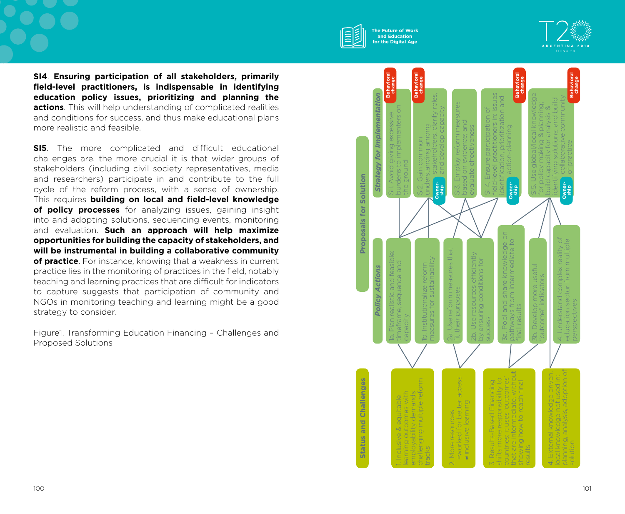



**SI4**. **Ensuring participation of all stakeholders, primarily field-level practitioners, is indispensable in identifying education policy issues, prioritizing and planning the actions**. This will help understanding of complicated realities and conditions for success, and thus make educational plans more realistic and feasible.

**SI5**. The more complicated and difficult educational challenges are, the more crucial it is that wider groups of stakeholders (including civil society representatives, media and researchers) participate in and contribute to the full cycle of the reform process, with a sense of ownership. This requires **building on local and field-level knowledge of policy processes** for analyzing issues, gaining insight into and adopting solutions, sequencing events, monitoring and evaluation. **Such an approach will help maximize opportunities for building the capacity of stakeholders, and will be instrumental in building a collaborative community of practice**. For instance, knowing that a weakness in current practice lies in the monitoring of practices in the field, notably teaching and learning practices that are difficult for indicators to capture suggests that participation of community and NGOs in monitoring teaching and learning might be a good strategy to consider.

Figure1. Transforming Education Financing – Challenges and Proposed Solutions

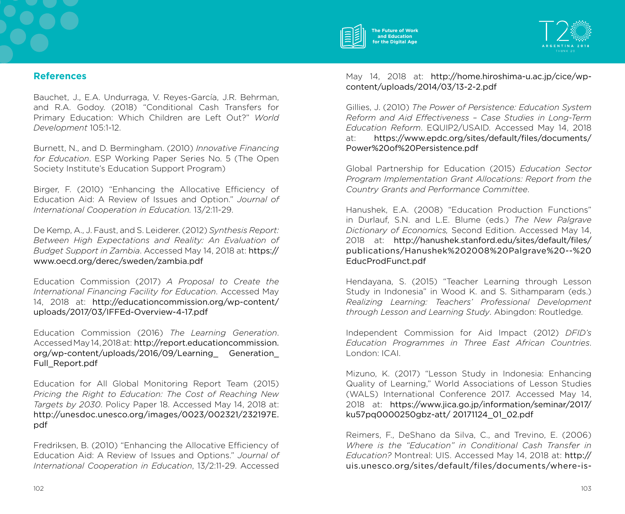ku57pq0000250gbz-att/ 20171124\_01\_02.pdf Reimers, F., DeShano da Silva, C., and Trevino, E. (2006) *Where is the "Education" in Conditional Cash Transfer in Education?* Montreal: UIS. Accessed May 14, 2018 at: http:// uis.unesco.org/sites/default/files/documents/where-is-

102 103

**References** 

Bauchet, J., E.A. Undurraga, V. Reyes-García, J.R. Behrman, and R.A. Godoy. (2018) "Conditional Cash Transfers for Primary Education: Which Children are Left Out?" *World Development* 105:1-12.

Burnett, N., and D. Bermingham. (2010) *Innovative Financing for Education*. ESP Working Paper Series No. 5 (The Open Society Institute's Education Support Program)

Birger, F. (2010) "Enhancing the Allocative Efficiency of Education Aid: A Review of Issues and Option." *Journal of International Cooperation in Education.* 13/2:11-29.

De Kemp, A., J. Faust, and S. Leiderer. (2012) *Synthesis Report: Between High Expectations and Reality: An Evaluation of Budget Support in Zambia*. Accessed May 14, 2018 at: https:// www.oecd.org/derec/sweden/zambia.pdf

Education Commission (2017) *A Proposal to Create the International Financing Facility for Education*. Accessed May 14, 2018 at: http://educationcommission.org/wp-content/ uploads/2017/03/IFFEd-Overview-4-17.pdf

Education Commission (2016) *The Learning Generation*. Accessed May 14, 2018 at: http://report.educationcommission. org/wp-content/uploads/2016/09/Learning\_ Generation\_ Full\_Report.pdf

Education for All Global Monitoring Report Team (2015) *Pricing the Right to Education: The Cost of Reaching New Targets by 2030*. Policy Paper 18. Accessed May 14, 2018 at: http://unesdoc.unesco.org/images/0023/002321/232197E. pdf

Fredriksen, B. (2010) "Enhancing the Allocative Efficiency of Education Aid: A Review of Issues and Options." *Journal of International Cooperation in Education*, 13/2:11-29. Accessed

May 14, 2018 at: http://home.hiroshima-u.ac.jp/cice/wpcontent/uploads/2014/03/13-2-2.pdf

Gillies, J. (2010) *The Power of Persistence: Education System Reform and Aid Effectiveness – Case Studies in Long-Term Education Reform*. EQUIP2/USAID. Accessed May 14, 2018 at: https://www.epdc.org/sites/default/files/documents/ Power%20of%20Persistence.pdf

Global Partnership for Education (2015) *Education Sector Program Implementation Grant Allocations: Report from the Country Grants and Performance Committee*.

Hanushek, E.A. (2008) "Education Production Functions" in Durlauf, S.N. and L.E. Blume (eds.) *The New Palgrave Dictionary of Economics,* Second Edition. Accessed May 14, 2018 at: http://hanushek.stanford.edu/sites/default/files/ publications/Hanushek%202008%20Palgrave%20--%20 EducProdFunct.pdf

Hendayana, S. (2015) "Teacher Learning through Lesson Study in Indonesia" in Wood K. and S. Sithamparam (eds.) *Realizing Learning: Teachers' Professional Development through Lesson and Learning Study*. Abingdon: Routledge.

Independent Commission for Aid Impact (2012) *DFID's Education Programmes in Three East African Countries*. London: ICAI.

Mizuno, K. (2017) "Lesson Study in Indonesia: Enhancing Quality of Learning," World Associations of Lesson Studies (WALS) International Conference 2017. Accessed May 14, 2018 at: https://www.jica.go.jp/information/seminar/2017/



**The Future of Work and Education for the Digital Age**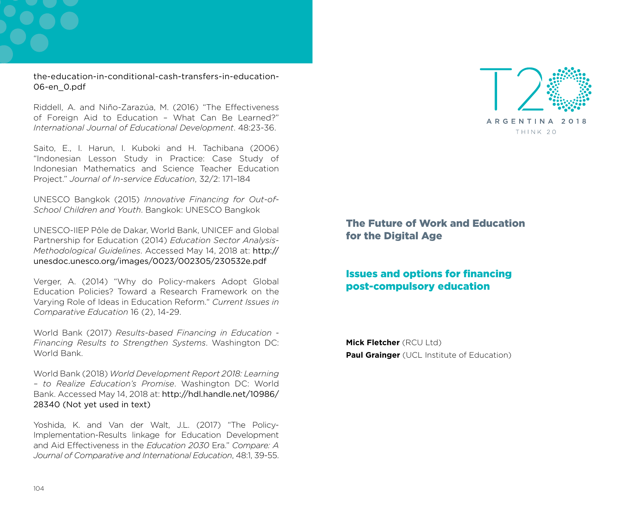the-education-in-conditional-cash-transfers-in-education-06-en\_0.pdf

Riddell, A. and Niño-Zarazúa, M. (2016) "The Effectiveness of Foreign Aid to Education – What Can Be Learned?" *International Journal of Educational Development*. 48:23-36.

Saito, E., I. Harun, I. Kuboki and H. Tachibana (2006) "Indonesian Lesson Study in Practice: Case Study of Indonesian Mathematics and Science Teacher Education Project." *Journal of In-service Education*, 32/2: 171–184

UNESCO Bangkok (2015) *Innovative Financing for Out-of-School Children and Youth*. Bangkok: UNESCO Bangkok

UNESCO-IIEP Pôle de Dakar, World Bank, UNICEF and Global Partnership for Education (2014) *Education Sector Analysis-Methodological Guidelines*. Accessed May 14, 2018 at: http:// unesdoc.unesco.org/images/0023/002305/230532e.pdf

Verger, A. (2014) "Why do Policy-makers Adopt Global Education Policies? Toward a Research Framework on the Varying Role of Ideas in Education Reform." *Current Issues in Comparative Education* 16 (2), 14-29.

World Bank (2017) *Results-based Financing in Education - Financing Results to Strengthen Systems*. Washington DC: World Bank.

World Bank (2018) *World Development Report 2018: Learning – to Realize Education's Promise*. Washington DC: World Bank. Accessed May 14, 2018 at: http://hdl.handle.net/10986/ 28340 (Not yet used in text)

Yoshida, K. and Van der Walt, J.L. (2017) "The Policy-Implementation-Results linkage for Education Development and Aid Effectiveness in the *Education 2030* Era." *Compare: A Journal of Comparative and International Education*, 48:1, 39-55.



# The Future of Work and Education for the Digital Age

# Issues and options for financing post-compulsory education

**Mick Fletcher** (RCU Ltd) **Paul Grainger** (UCL Institute of Education)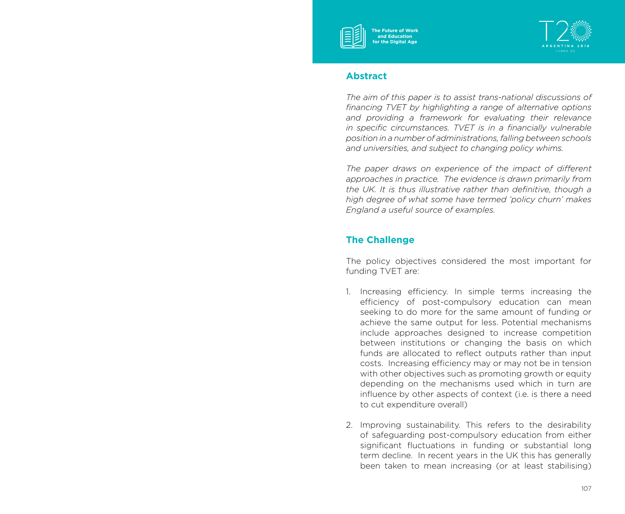



### **Abstract**

*The aim of this paper is to assist trans-national discussions of financing TVET by highlighting a range of alternative options and providing a framework for evaluating their relevance in specific circumstances. TVET is in a financially vulnerable position in a number of administrations, falling between schools and universities, and subject to changing policy whims.*

*The paper draws on experience of the impact of different approaches in practice. The evidence is drawn primarily from the UK. It is thus illustrative rather than definitive, though a high degree of what some have termed 'policy churn' makes England a useful source of examples.* 

# **The Challenge**

The policy objectives considered the most important for funding TVET are:

- 1. Increasing efficiency. In simple terms increasing the efficiency of post-compulsory education can mean seeking to do more for the same amount of funding or achieve the same output for less. Potential mechanisms include approaches designed to increase competition between institutions or changing the basis on which funds are allocated to reflect outputs rather than input costs. Increasing efficiency may or may not be in tension with other objectives such as promoting growth or equity depending on the mechanisms used which in turn are influence by other aspects of context (i.e. is there a need to cut expenditure overall)
- 2. Improving sustainability. This refers to the desirability of safeguarding post-compulsory education from either significant fluctuations in funding or substantial long term decline. In recent years in the UK this has generally been taken to mean increasing (or at least stabilising)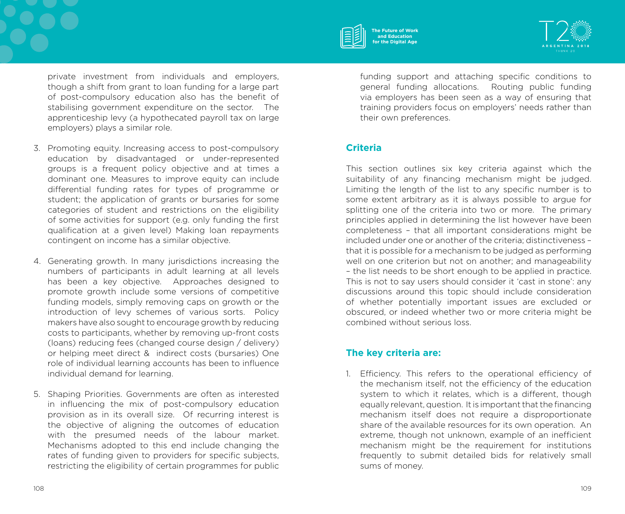

private investment from individuals and employers, though a shift from grant to loan funding for a large part of post-compulsory education also has the benefit of stabilising government expenditure on the sector. The apprenticeship levy (a hypothecated payroll tax on large employers) plays a similar role.

- 3. Promoting equity. Increasing access to post-compulsory education by disadvantaged or under-represented groups is a frequent policy objective and at times a dominant one. Measures to improve equity can include differential funding rates for types of programme or student; the application of grants or bursaries for some categories of student and restrictions on the eligibility of some activities for support (e.g. only funding the first qualification at a given level) Making loan repayments contingent on income has a similar objective.
- 4. Generating growth. In many jurisdictions increasing the numbers of participants in adult learning at all levels has been a key objective. Approaches designed to promote growth include some versions of competitive funding models, simply removing caps on growth or the introduction of levy schemes of various sorts. Policy makers have also sought to encourage growth by reducing costs to participants, whether by removing up-front costs (loans) reducing fees (changed course design / delivery) or helping meet direct & indirect costs (bursaries) One role of individual learning accounts has been to influence individual demand for learning.
- 5. Shaping Priorities. Governments are often as interested in influencing the mix of post-compulsory education provision as in its overall size. Of recurring interest is the objective of aligning the outcomes of education with the presumed needs of the labour market. Mechanisms adopted to this end include changing the rates of funding given to providers for specific subjects, restricting the eligibility of certain programmes for public

funding support and attaching specific conditions to general funding allocations. Routing public funding via employers has been seen as a way of ensuring that training providers focus on employers' needs rather than their own preferences.

# **Criteria**

This section outlines six key criteria against which the suitability of any financing mechanism might be judged. Limiting the length of the list to any specific number is to some extent arbitrary as it is always possible to argue for splitting one of the criteria into two or more. The primary principles applied in determining the list however have been completeness – that all important considerations might be included under one or another of the criteria; distinctiveness – that it is possible for a mechanism to be judged as performing well on one criterion but not on another; and manageability – the list needs to be short enough to be applied in practice. This is not to say users should consider it 'cast in stone': any discussions around this topic should include consideration of whether potentially important issues are excluded or obscured, or indeed whether two or more criteria might be combined without serious loss.

# **The key criteria are:**

1. Efficiency. This refers to the operational efficiency of the mechanism itself, not the efficiency of the education system to which it relates, which is a different, though equally relevant, question. It is important that the financing mechanism itself does not require a disproportionate share of the available resources for its own operation. An extreme, though not unknown, example of an inefficient mechanism might be the requirement for institutions frequently to submit detailed bids for relatively small sums of money.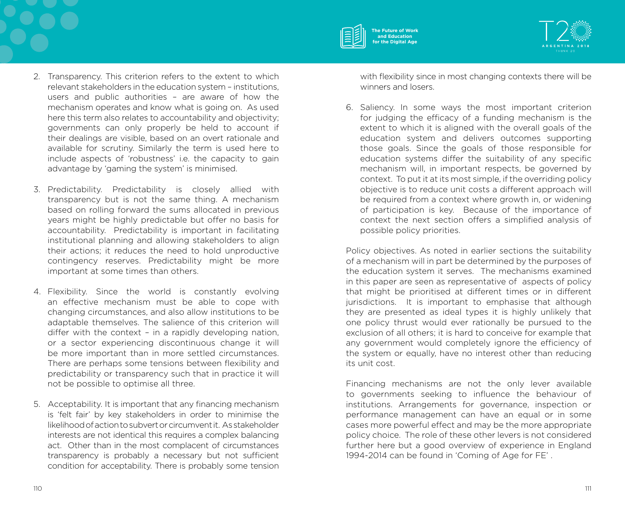

- 2. Transparency. This criterion refers to the extent to which relevant stakeholders in the education system – institutions, users and public authorities – are aware of how the mechanism operates and know what is going on. As used here this term also relates to accountability and objectivity; governments can only properly be held to account if their dealings are visible, based on an overt rationale and available for scrutiny. Similarly the term is used here to include aspects of 'robustness' i.e. the capacity to gain advantage by 'gaming the system' is minimised.
- 3. Predictability. Predictability is closely allied with transparency but is not the same thing. A mechanism based on rolling forward the sums allocated in previous years might be highly predictable but offer no basis for accountability. Predictability is important in facilitating institutional planning and allowing stakeholders to align their actions; it reduces the need to hold unproductive contingency reserves. Predictability might be more important at some times than others.
- 4. Flexibility. Since the world is constantly evolving an effective mechanism must be able to cope with changing circumstances, and also allow institutions to be adaptable themselves. The salience of this criterion will differ with the context – in a rapidly developing nation, or a sector experiencing discontinuous change it will be more important than in more settled circumstances. There are perhaps some tensions between flexibility and predictability or transparency such that in practice it will not be possible to optimise all three.
- 5. Acceptability. It is important that any financing mechanism is 'felt fair' by key stakeholders in order to minimise the likelihood of action to subvert or circumvent it. As stakeholder interests are not identical this requires a complex balancing act. Other than in the most complacent of circumstances transparency is probably a necessary but not sufficient condition for acceptability. There is probably some tension

with flexibility since in most changing contexts there will be winners and losers.

6. Saliency. In some ways the most important criterion for judging the efficacy of a funding mechanism is the extent to which it is aligned with the overall goals of the education system and delivers outcomes supporting those goals. Since the goals of those responsible for education systems differ the suitability of any specific mechanism will, in important respects, be governed by context. To put it at its most simple, if the overriding policy objective is to reduce unit costs a different approach will be required from a context where growth in, or widening of participation is key. Because of the importance of context the next section offers a simplified analysis of possible policy priorities.

Policy objectives. As noted in earlier sections the suitability of a mechanism will in part be determined by the purposes of the education system it serves. The mechanisms examined in this paper are seen as representative of aspects of policy that might be prioritised at different times or in different jurisdictions. It is important to emphasise that although they are presented as ideal types it is highly unlikely that one policy thrust would ever rationally be pursued to the exclusion of all others; it is hard to conceive for example that any government would completely ignore the efficiency of the system or equally, have no interest other than reducing its unit cost.

Financing mechanisms are not the only lever available to governments seeking to influence the behaviour of institutions. Arrangements for governance, inspection or performance management can have an equal or in some cases more powerful effect and may be the more appropriate policy choice. The role of these other levers is not considered further here but a good overview of experience in England 1994-2014 can be found in 'Coming of Age for FE' .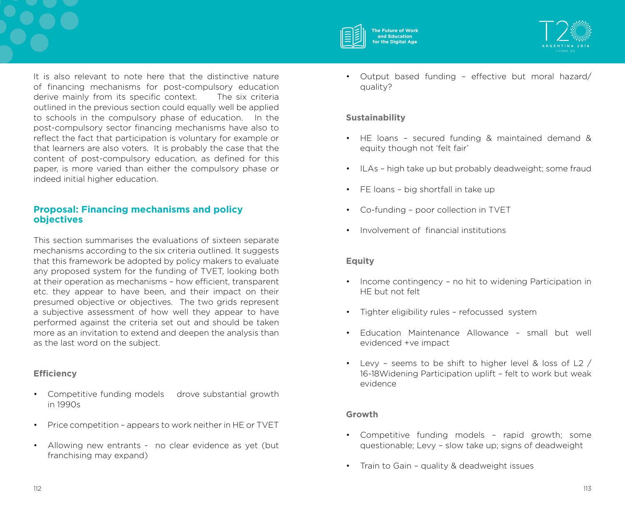It is also relevant to note here that the distinctive nature of financing mechanisms for post-compulsory education derive mainly from its specific context. The six criteria outlined in the previous section could equally well be applied to schools in the compulsory phase of education. In the post-compulsory sector financing mechanisms have also to reflect the fact that participation is voluntary for example or that learners are also voters. It is probably the case that the content of post-compulsory education, as defined for this paper, is more varied than either the compulsory phase or indeed initial higher education.

# **Proposal: Financing mechanisms and policy objectives**

This section summarises the evaluations of sixteen separate mechanisms according to the six criteria outlined. It suggests that this framework be adopted by policy makers to evaluate any proposed system for the funding of TVET, looking both at their operation as mechanisms – how efficient, transparent etc. they appear to have been, and their impact on their presumed objective or objectives. The two grids represent a subjective assessment of how well they appear to have performed against the criteria set out and should be taken more as an invitation to extend and deepen the analysis than as the last word on the subject.

# **Efficiency**

- Competitive funding models drove substantial growth in 1990s
- Price competition appears to work neither in HE or TVET
- Allowing new entrants no clear evidence as yet (but franchising may expand)

• Output based funding – effective but moral hazard/ quality?

# **Sustainability**

- HE loans secured funding & maintained demand & equity though not 'felt fair'
- ILAs high take up but probably deadweight; some fraud
- FE loans big shortfall in take up
- Co-funding poor collection in TVET
- Involvement of financial institutions

# **Equity**

- Income contingency no hit to widening Participation in HE but not felt
- Tighter eligibility rules refocussed system
- Education Maintenance Allowance small but well evidenced +ve impact
- Levy seems to be shift to higher level & loss of L2 / 16-18Widening Participation uplift – felt to work but weak evidence

# **Growth**

- Competitive funding models rapid growth; some questionable; Levy – slow take up; signs of deadweight
- Train to Gain quality & deadweight issues



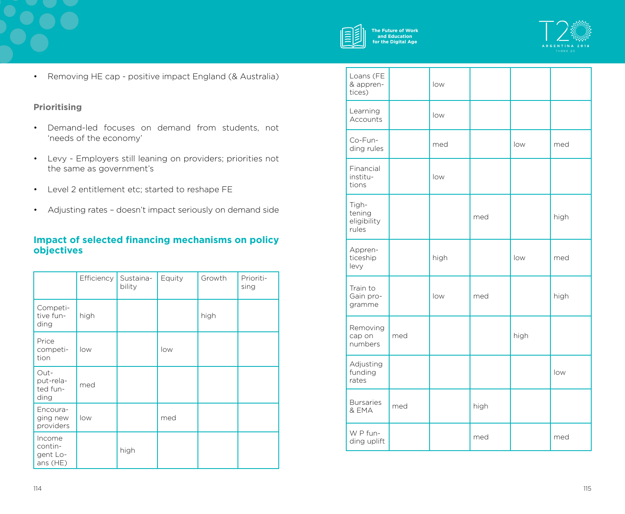



• Removing HE cap - positive impact England (& Australia)

### **Prioritising**

- Demand-led focuses on demand from students, not 'needs of the economy'
- Levy Employers still leaning on providers; priorities not the same as government's
- Level 2 entitlement etc; started to reshape FE
- Adjusting rates doesn't impact seriously on demand side

# **Impact of selected financing mechanisms on policy objectives**

|                                           | Efficiency | Sustaina-<br>bility | Equity | Growth | Prioriti-<br>sing |
|-------------------------------------------|------------|---------------------|--------|--------|-------------------|
| Competi-<br>tive fun-<br>ding             | high       |                     |        | high   |                   |
| Price<br>competi-<br>tion                 | low        |                     | low    |        |                   |
| Out-<br>put-rela-<br>ted fun-<br>ding     | med        |                     |        |        |                   |
| Encoura-<br>ging new<br>providers         | low        |                     | med    |        |                   |
| Income<br>contin-<br>gent Lo-<br>ans (HE) |            | high                |        |        |                   |

| Loans (FE<br>& appren-<br>tices)        |     | low  |      |      |      |
|-----------------------------------------|-----|------|------|------|------|
| Learning<br>Accounts                    |     | low  |      |      |      |
| Co-Fun-<br>ding rules                   |     | med  |      | low  | med  |
| Financial<br>institu-<br>tions          |     | low  |      |      |      |
| Tigh-<br>tening<br>eligibility<br>rules |     |      | med  |      | high |
| Appren-<br>ticeship<br>levy             |     | high |      | low  | med  |
| Train to<br>Gain pro-<br>gramme         |     | low  | med  |      | high |
| Removing<br>cap on<br>numbers           | med |      |      | high |      |
| Adjusting<br>funding<br>rates           |     |      |      |      | low  |
| <b>Bursaries</b><br>& EMA               | med |      | high |      |      |
| W P fun-<br>ding uplift                 |     |      | med  |      | med  |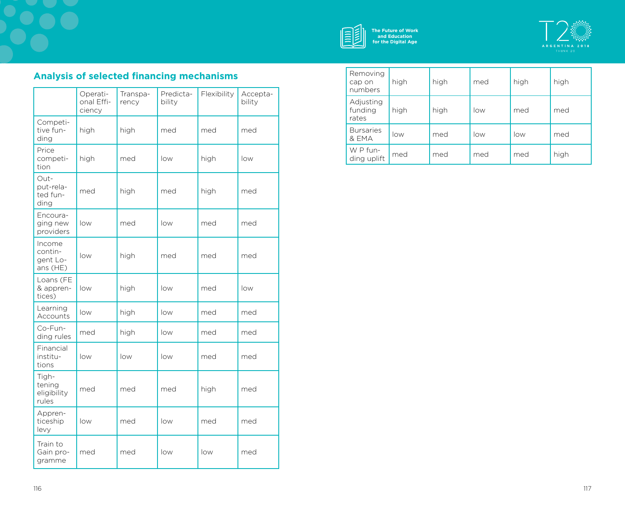



# **Analysis of selected financing mechanisms**

|                                           | Operati-<br>onal Effi-<br>ciency | Transpa-<br>rency | Predicta-<br>bility | Flexibility | Accepta-<br>bility |
|-------------------------------------------|----------------------------------|-------------------|---------------------|-------------|--------------------|
| Competi-<br>tive fun-<br>ding             | high                             | high              | med                 | med         | med                |
| Price<br>competi-<br>tion                 | high                             | med               | low                 | high        | low                |
| Out-<br>put-rela-<br>ted fun-<br>ding     | med                              | high              | med                 | high        | med                |
| Encoura-<br>ging new<br>providers         | low                              | med               | low                 | med         | med                |
| Income<br>contin-<br>gent Lo-<br>ans (HE) | low                              | high              | med                 | med         | med                |
| Loans (FE<br>& appren-<br>tices)          | low                              | high              | low                 | med         | low                |
| Learning<br>Accounts                      | low                              | high              | low                 | med         | med                |
| Co-Fun-<br>ding rules                     | med                              | high              | low                 | med         | med                |
| Financial<br>institu-<br>tions            | low                              | low               | low                 | med         | med                |
| Tigh-<br>tening<br>eligibility<br>rules   | med                              | med               | med                 | high        | med                |
| Appren-<br>ticeship<br>levy               | low                              | med               | low                 | med         | med                |
| Train to<br>Gain pro-<br>gramme           | med                              | med               | low                 | low         | med                |

| Removing<br>cap on<br>numbers | high | high | med | high | high |
|-------------------------------|------|------|-----|------|------|
| Adjusting<br>funding<br>rates | high | high | low | med  | med  |
| <b>Bursaries</b><br>& EMA     | low  | med  | low | low  | med  |
| W P fun-<br>ding uplift       | med  | med  | med | med  | high |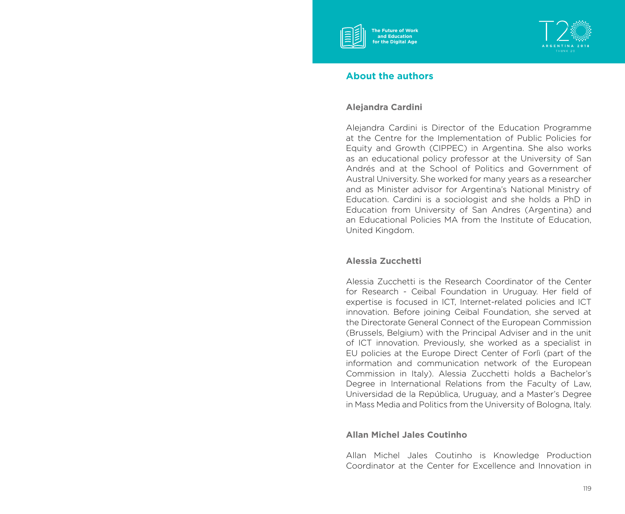

#### **About the authors**

#### **Alejandra Cardini**

Alejandra Cardini is Director of the Education Programme at the Centre for the Implementation of Public Policies for Equity and Growth (CIPPEC) in Argentina. She also works as an educational policy professor at the University of San Andrés and at the School of Politics and Government of Austral University. She worked for many years as a researcher and as Minister advisor for Argentina's National Ministry of Education. Cardini is a sociologist and she holds a PhD in Education from University of San Andres (Argentina) and an Educational Policies MA from the Institute of Education, United Kingdom.

#### **Alessia Zucchetti**

Alessia Zucchetti is the Research Coordinator of the Center for Research - Ceibal Foundation in Uruguay. Her field of expertise is focused in ICT, Internet-related policies and ICT innovation. Before joining Ceibal Foundation, she served at the Directorate General Connect of the European Commission (Brussels, Belgium) with the Principal Adviser and in the unit of ICT innovation. Previously, she worked as a specialist in EU policies at the Europe Direct Center of Forlì (part of the information and communication network of the European Commission in Italy). Alessia Zucchetti holds a Bachelor's Degree in International Relations from the Faculty of Law, Universidad de la República, Uruguay, and a Master's Degree in Mass Media and Politics from the University of Bologna, Italy.

#### **Allan Michel Jales Coutinho**

Allan Michel Jales Coutinho is Knowledge Production Coordinator at the Center for Excellence and Innovation in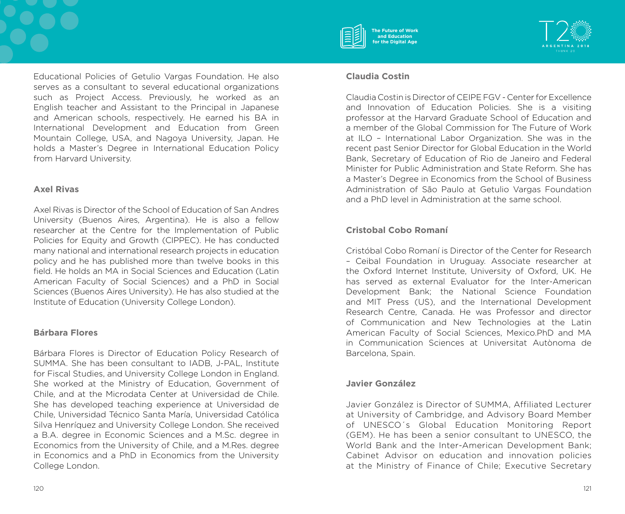

#### **Axel Rivas**

Axel Rivas is Director of the School of Education of San Andres University (Buenos Aires, Argentina). He is also a fellow researcher at the Centre for the Implementation of Public Policies for Equity and Growth (CIPPEC). He has conducted many national and international research projects in education policy and he has published more than twelve books in this field. He holds an MA in Social Sciences and Education (Latin American Faculty of Social Sciences) and a PhD in Social Sciences (Buenos Aires University). He has also studied at the Institute of Education (University College London).

#### **Bárbara Flores**

Bárbara Flores is Director of Education Policy Research of SUMMA. She has been consultant to IADB, J-PAL, Institute for Fiscal Studies, and University College London in England. She worked at the Ministry of Education, Government of Chile, and at the Microdata Center at Universidad de Chile. She has developed teaching experience at Universidad de Chile, Universidad Técnico Santa María, Universidad Católica Silva Henríquez and University College London. She received a B.A. degree in Economic Sciences and a M.Sc. degree in Economics from the University of Chile, and a M.Res. degree in Economics and a PhD in Economics from the University College London.



**The Future of Work and Education for the Digital Age**

#### **Claudia Costin**

Claudia Costin is Director of CEIPE FGV - Center for Excellence and Innovation of Education Policies. She is a visiting professor at the Harvard Graduate School of Education and a member of the Global Commission for The Future of Work at ILO – International Labor Organization. She was in the recent past Senior Director for Global Education in the World Bank, Secretary of Education of Rio de Janeiro and Federal Minister for Public Administration and State Reform. She has a Master's Degree in Economics from the School of Business Administration of São Paulo at Getulio Vargas Foundation and a PhD level in Administration at the same school.

# **Cristobal Cobo Romaní**

Cristóbal Cobo Romaní is Director of the Center for Research – Ceibal Foundation in Uruguay. Associate researcher at the Oxford Internet Institute, University of Oxford, UK. He has served as external Evaluator for the Inter-American Development Bank; the National Science Foundation and MIT Press (US), and the International Development Research Centre, Canada. He was Professor and director of Communication and New Technologies at the Latin American Faculty of Social Sciences, Mexico.PhD and MA in Communication Sciences at Universitat Autònoma de Barcelona, Spain.

# **Javier González**

Javier González is Director of SUMMA, Affiliated Lecturer at University of Cambridge, and Advisory Board Member of UNESCO´s Global Education Monitoring Report (GEM). He has been a senior consultant to UNESCO, the World Bank and the Inter-American Development Bank; Cabinet Advisor on education and innovation policies at the Ministry of Finance of Chile; Executive Secretary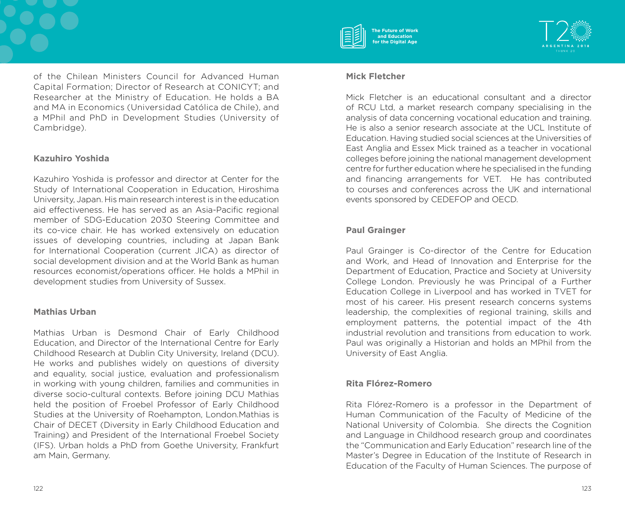

#### **Kazuhiro Yoshida**

Kazuhiro Yoshida is professor and director at Center for the Study of International Cooperation in Education, Hiroshima University, Japan. His main research interest is in the education aid effectiveness. He has served as an Asia-Pacific regional member of SDG-Education 2030 Steering Committee and its co-vice chair. He has worked extensively on education issues of developing countries, including at Japan Bank for International Cooperation (current JICA) as director of social development division and at the World Bank as human resources economist/operations officer. He holds a MPhil in development studies from University of Sussex.

#### **Mathias Urban**

Mathias Urban is Desmond Chair of Early Childhood Education, and Director of the International Centre for Early Childhood Research at Dublin City University, Ireland (DCU). He works and publishes widely on questions of diversity and equality, social justice, evaluation and professionalism in working with young children, families and communities in diverse socio-cultural contexts. Before joining DCU Mathias held the position of Froebel Professor of Early Childhood Studies at the University of Roehampton, London.Mathias is Chair of DECET (Diversity in Early Childhood Education and Training) and President of the International Froebel Society (IFS). Urban holds a PhD from Goethe University, Frankfurt am Main, Germany.



#### **Mick Fletcher**

Mick Fletcher is an educational consultant and a director of RCU Ltd, a market research company specialising in the analysis of data concerning vocational education and training. He is also a senior research associate at the UCL Institute of Education. Having studied social sciences at the Universities of East Anglia and Essex Mick trained as a teacher in vocational colleges before joining the national management development centre for further education where he specialised in the funding and financing arrangements for VET. He has contributed to courses and conferences across the UK and international events sponsored by CEDEFOP and OECD.

#### **Paul Grainger**

Paul Grainger is Co-director of the Centre for Education and Work, and Head of Innovation and Enterprise for the Department of Education, Practice and Society at University College London. Previously he was Principal of a Further Education College in Liverpool and has worked in TVET for most of his career. His present research concerns systems leadership, the complexities of regional training, skills and employment patterns, the potential impact of the 4th industrial revolution and transitions from education to work. Paul was originally a Historian and holds an MPhil from the University of East Anglia.

#### **Rita Flórez-Romero**

Rita Flórez-Romero is a professor in the Department of Human Communication of the Faculty of Medicine of the National University of Colombia. She directs the Cognition and Language in Childhood research group and coordinates the "Communication and Early Education" research line of the Master's Degree in Education of the Institute of Research in Education of the Faculty of Human Sciences. The purpose of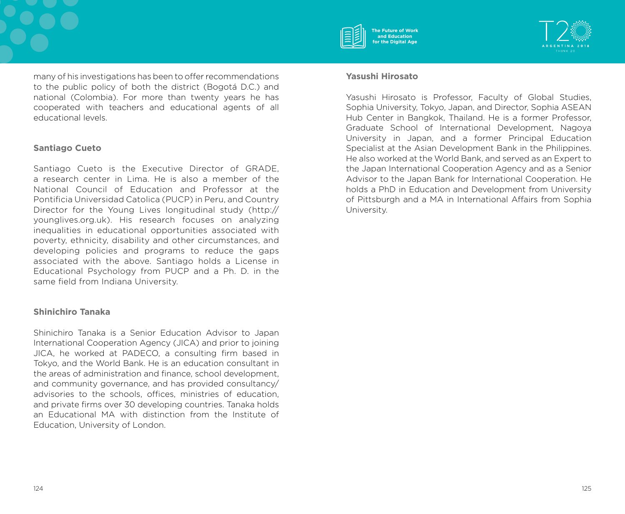

#### **Santiago Cueto**

Santiago Cueto is the Executive Director of GRADE, a research center in Lima. He is also a member of the National Council of Education and Professor at the Pontificia Universidad Catolica (PUCP) in Peru, and Country Director for the Young Lives longitudinal study (http:// younglives.org.uk). His research focuses on analyzing inequalities in educational opportunities associated with poverty, ethnicity, disability and other circumstances, and developing policies and programs to reduce the gaps associated with the above. Santiago holds a License in Educational Psychology from PUCP and a Ph. D. in the same field from Indiana University.

#### **Shinichiro Tanaka**

Shinichiro Tanaka is a Senior Education Advisor to Japan International Cooperation Agency (JICA) and prior to joining JICA, he worked at PADECO, a consulting firm based in Tokyo, and the World Bank. He is an education consultant in the areas of administration and finance, school development, and community governance, and has provided consultancy/ advisories to the schools, offices, ministries of education, and private firms over 30 developing countries. Tanaka holds an Educational MA with distinction from the Institute of Education, University of London.



#### **Yasushi Hirosato**

Yasushi Hirosato is Professor, Faculty of Global Studies, Sophia University, Tokyo, Japan, and Director, Sophia ASEAN Hub Center in Bangkok, Thailand. He is a former Professor, Graduate School of International Development, Nagoya University in Japan, and a former Principal Education Specialist at the Asian Development Bank in the Philippines. He also worked at the World Bank, and served as an Expert to the Japan International Cooperation Agency and as a Senior Advisor to the Japan Bank for International Cooperation. He holds a PhD in Education and Development from University of Pittsburgh and a MA in International Affairs from Sophia University.